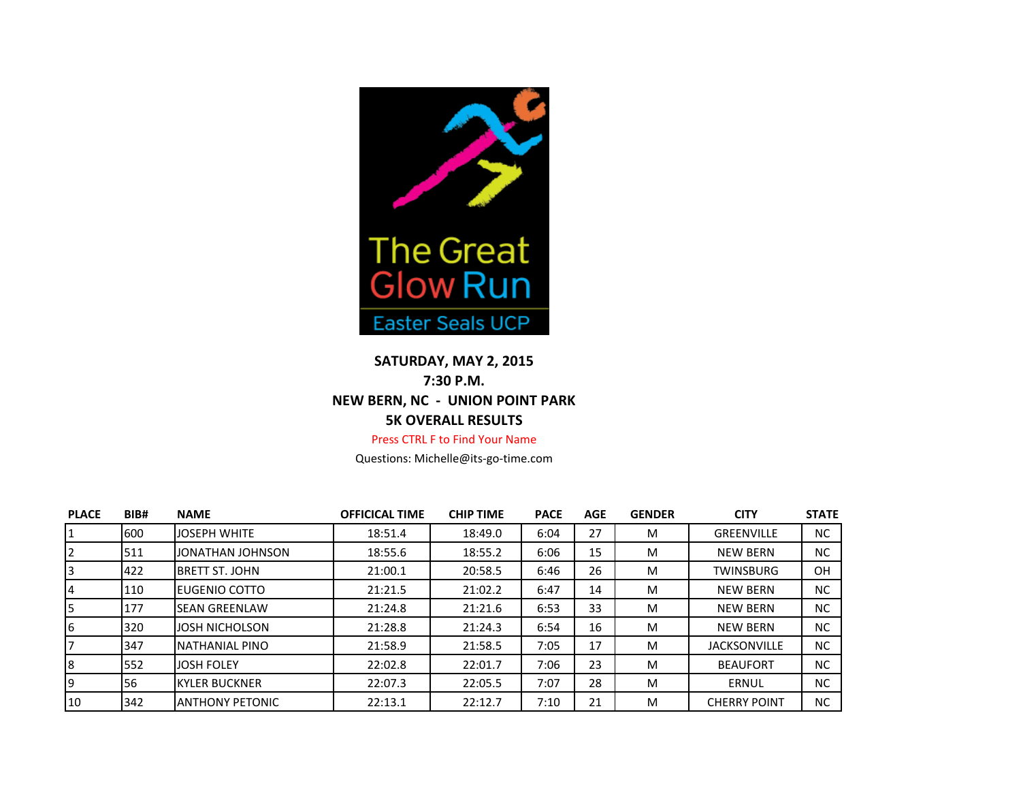

## **SATURDAY, MAY 2, 2015 7:30 P.M. NEW BERN, NC - UNION POINT PARK 5K OVERALL RESULTS**

## Press CTRL F to Find Your Name

Questions: Michelle@its-go-time.com

| <b>PLACE</b> | BIB# | <b>NAME</b>            | <b>OFFICICAL TIME</b> | <b>CHIP TIME</b> | <b>PACE</b> | <b>AGE</b> | <b>GENDER</b> | <b>CITY</b>         | <b>STATE</b> |
|--------------|------|------------------------|-----------------------|------------------|-------------|------------|---------------|---------------------|--------------|
|              | 600  | <b>JOSEPH WHITE</b>    | 18:51.4               | 18:49.0          | 6:04        | 27         | M             | <b>GREENVILLE</b>   | <b>NC</b>    |
|              | 511  | JONATHAN JOHNSON       | 18:55.6               | 18:55.2          | 6:06        | 15         | M             | <b>NEW BERN</b>     | <b>NC</b>    |
|              | 422  | <b>BRETT ST. JOHN</b>  | 21:00.1               | 20:58.5          | 6:46        | 26         | M             | <b>TWINSBURG</b>    | <b>OH</b>    |
| 4            | 110  | EUGENIO COTTO          | 21:21.5               | 21:02.2          | 6:47        | 14         | M             | <b>NEW BERN</b>     | <b>NC</b>    |
|              | 177  | <b>SEAN GREENLAW</b>   | 21:24.8               | 21:21.6          | 6:53        | 33         | M             | <b>NEW BERN</b>     | <b>NC</b>    |
| 6            | 320  | <b>JOSH NICHOLSON</b>  | 21:28.8               | 21:24.3          | 6:54        | 16         | M             | <b>NEW BERN</b>     | <b>NC</b>    |
|              | 347  | <b>NATHANIAL PINO</b>  | 21:58.9               | 21:58.5          | 7:05        | 17         | M             | <b>JACKSONVILLE</b> | <b>NC</b>    |
| 8            | 552  | <b>JOSH FOLEY</b>      | 22:02.8               | 22:01.7          | 7:06        | 23         | M             | <b>BEAUFORT</b>     | <b>NC</b>    |
| 9            | 56   | <b>KYLER BUCKNER</b>   | 22:07.3               | 22:05.5          | 7:07        | 28         | M             | ERNUL               | <b>NC</b>    |
| 10           | 342  | <b>ANTHONY PETONIC</b> | 22:13.1               | 22:12.7          | 7:10        | 21         | M             | <b>CHERRY POINT</b> | <b>NC</b>    |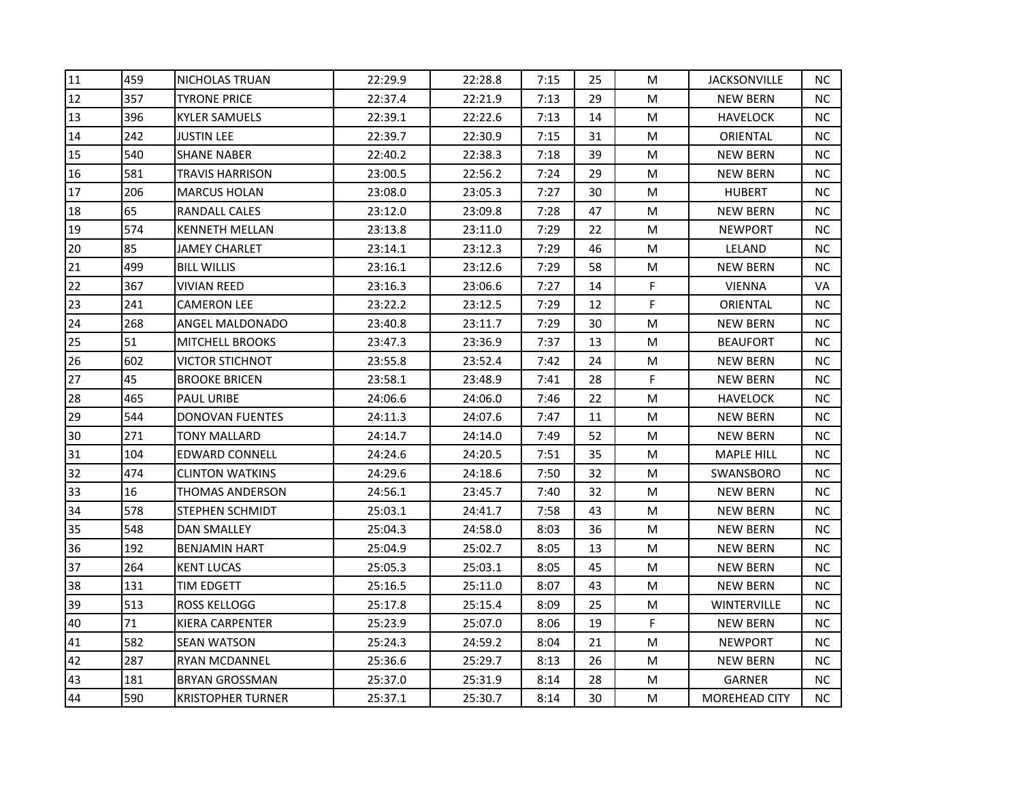| 11 | 459 | NICHOLAS TRUAN           | 22:29.9 | 22:28.8 | 7:15 | 25 | M | <b>JACKSONVILLE</b> | <b>NC</b> |
|----|-----|--------------------------|---------|---------|------|----|---|---------------------|-----------|
| 12 | 357 | <b>TYRONE PRICE</b>      | 22:37.4 | 22:21.9 | 7:13 | 29 | M | <b>NEW BERN</b>     | ΝC        |
| 13 | 396 | <b>KYLER SAMUELS</b>     | 22:39.1 | 22:22.6 | 7:13 | 14 | M | HAVELOCK            | NC.       |
| 14 | 242 | JUSTIN LEE               | 22:39.7 | 22:30.9 | 7:15 | 31 | M | ORIENTAL            | NC.       |
| 15 | 540 | SHANE NABER              | 22:40.2 | 22:38.3 | 7:18 | 39 | M | <b>NEW BERN</b>     | NC.       |
| 16 | 581 | TRAVIS HARRISON          | 23:00.5 | 22:56.2 | 7:24 | 29 | M | <b>NEW BERN</b>     | NC.       |
| 17 | 206 | <b>MARCUS HOLAN</b>      | 23:08.0 | 23:05.3 | 7:27 | 30 | M | <b>HUBERT</b>       | <b>NC</b> |
| 18 | 65  | RANDALL CALES            | 23:12.0 | 23:09.8 | 7:28 | 47 | M | <b>NEW BERN</b>     | <b>NC</b> |
| 19 | 574 | <b>KENNETH MELLAN</b>    | 23:13.8 | 23:11.0 | 7:29 | 22 | M | <b>NEWPORT</b>      | <b>NC</b> |
| 20 | 85  | JAMEY CHARLET            | 23:14.1 | 23:12.3 | 7:29 | 46 | M | LELAND              | <b>NC</b> |
| 21 | 499 | <b>BILL WILLIS</b>       | 23:16.1 | 23:12.6 | 7:29 | 58 | M | <b>NEW BERN</b>     | ΝC        |
| 22 | 367 | VIVIAN REED              | 23:16.3 | 23:06.6 | 7:27 | 14 | F | <b>VIENNA</b>       | VA        |
| 23 | 241 | <b>CAMERON LEE</b>       | 23:22.2 | 23:12.5 | 7:29 | 12 | F | ORIENTAL            | NC        |
| 24 | 268 | ANGEL MALDONADO          | 23:40.8 | 23:11.7 | 7:29 | 30 | M | <b>NEW BERN</b>     | ΝC        |
| 25 | 51  | <b>MITCHELL BROOKS</b>   | 23:47.3 | 23:36.9 | 7:37 | 13 | M | <b>BEAUFORT</b>     | NC.       |
| 26 | 602 | VICTOR STICHNOT          | 23:55.8 | 23:52.4 | 7:42 | 24 | M | <b>NEW BERN</b>     | NC.       |
| 27 | 45  | <b>BROOKE BRICEN</b>     | 23:58.1 | 23:48.9 | 7:41 | 28 | F | <b>NEW BERN</b>     | NC        |
| 28 | 465 | <b>PAUL URIBE</b>        | 24:06.6 | 24:06.0 | 7:46 | 22 | M | <b>HAVELOCK</b>     | <b>NC</b> |
| 29 | 544 | <b>DONOVAN FUENTES</b>   | 24:11.3 | 24:07.6 | 7:47 | 11 | M | NEW BERN            | <b>NC</b> |
| 30 | 271 | TONY MALLARD             | 24:14.7 | 24:14.0 | 7:49 | 52 | M | <b>NEW BERN</b>     | NC.       |
| 31 | 104 | EDWARD CONNELL           | 24:24.6 | 24:20.5 | 7:51 | 35 | M | <b>MAPLE HILL</b>   | <b>NC</b> |
| 32 | 474 | <b>CLINTON WATKINS</b>   | 24:29.6 | 24:18.6 | 7:50 | 32 | M | SWANSBORO           | NC.       |
| 33 | 16  | THOMAS ANDERSON          | 24:56.1 | 23:45.7 | 7:40 | 32 | M | <b>NEW BERN</b>     | <b>NC</b> |
| 34 | 578 | STEPHEN SCHMIDT          | 25:03.1 | 24:41.7 | 7:58 | 43 | M | <b>NEW BERN</b>     | NC.       |
| 35 | 548 | DAN SMALLEY              | 25:04.3 | 24:58.0 | 8:03 | 36 | M | NEW BERN            | NC.       |
| 36 | 192 | <b>BENJAMIN HART</b>     | 25:04.9 | 25:02.7 | 8:05 | 13 | M | <b>NEW BERN</b>     | NC.       |
| 37 | 264 | <b>KENT LUCAS</b>        | 25:05.3 | 25:03.1 | 8:05 | 45 | M | <b>NEW BERN</b>     | ΝC        |
| 38 | 131 | TIM EDGETT               | 25:16.5 | 25:11.0 | 8:07 | 43 | M | <b>NEW BERN</b>     | NC        |
| 39 | 513 | <b>ROSS KELLOGG</b>      | 25:17.8 | 25:15.4 | 8:09 | 25 | M | <b>WINTERVILLE</b>  | <b>NC</b> |
| 40 | 71  | KIERA CARPENTER          | 25:23.9 | 25:07.0 | 8:06 | 19 | F | <b>NEW BERN</b>     | NC.       |
| 41 | 582 | SEAN WATSON              | 25:24.3 | 24:59.2 | 8:04 | 21 | M | <b>NEWPORT</b>      | NC.       |
| 42 | 287 | RYAN MCDANNEL            | 25:36.6 | 25:29.7 | 8:13 | 26 | M | <b>NEW BERN</b>     | NC        |
| 43 | 181 | <b>BRYAN GROSSMAN</b>    | 25:37.0 | 25:31.9 | 8:14 | 28 | M | GARNER              | NC        |
| 44 | 590 | <b>KRISTOPHER TURNER</b> | 25:37.1 | 25:30.7 | 8:14 | 30 | M | MOREHEAD CITY       | <b>NC</b> |
|    |     |                          |         |         |      |    |   |                     |           |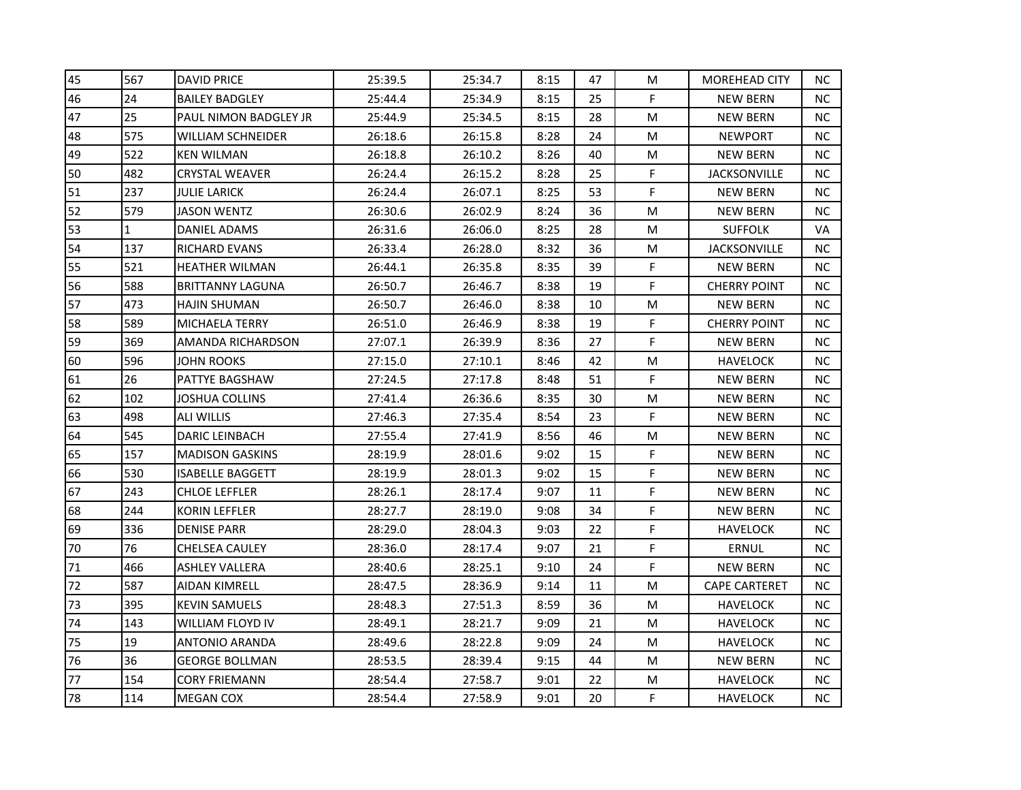| 45 | 567          | <b>DAVID PRICE</b>      | 25:39.5 | 25:34.7 | 8:15 | 47 | M | <b>MOREHEAD CITY</b> | NC. |
|----|--------------|-------------------------|---------|---------|------|----|---|----------------------|-----|
| 46 | 24           | <b>BAILEY BADGLEY</b>   | 25:44.4 | 25:34.9 | 8:15 | 25 | F | <b>NEW BERN</b>      | NC. |
| 47 | 25           | PAUL NIMON BADGLEY JR   | 25:44.9 | 25:34.5 | 8:15 | 28 | M | <b>NEW BERN</b>      | NC  |
| 48 | 575          | WILLIAM SCHNEIDER       | 26:18.6 | 26:15.8 | 8:28 | 24 | M | <b>NEWPORT</b>       | NC. |
| 49 | 522          | <b>KEN WILMAN</b>       | 26:18.8 | 26:10.2 | 8:26 | 40 | M | <b>NEW BERN</b>      | NC. |
| 50 | 482          | CRYSTAL WEAVER          | 26:24.4 | 26:15.2 | 8:28 | 25 | F | JACKSONVILLE         | NC. |
| 51 | 237          | JULIE LARICK            | 26:24.4 | 26:07.1 | 8:25 | 53 | F | <b>NEW BERN</b>      | NC. |
| 52 | 579          | <b>JASON WENTZ</b>      | 26:30.6 | 26:02.9 | 8:24 | 36 | M | <b>NEW BERN</b>      | NC. |
| 53 | $\mathbf{1}$ | DANIEL ADAMS            | 26:31.6 | 26:06.0 | 8:25 | 28 | M | <b>SUFFOLK</b>       | VA  |
| 54 | 137          | RICHARD EVANS           | 26:33.4 | 26:28.0 | 8:32 | 36 | M | JACKSONVILLE         | NC. |
| 55 | 521          | HEATHER WILMAN          | 26:44.1 | 26:35.8 | 8:35 | 39 | F | <b>NEW BERN</b>      | NC. |
| 56 | 588          | <b>BRITTANNY LAGUNA</b> | 26:50.7 | 26:46.7 | 8:38 | 19 | F | <b>CHERRY POINT</b>  | NC. |
| 57 | 473          | HAJIN SHUMAN            | 26:50.7 | 26:46.0 | 8:38 | 10 | M | <b>NEW BERN</b>      | NC. |
| 58 | 589          | MICHAELA TERRY          | 26:51.0 | 26:46.9 | 8:38 | 19 | F | <b>CHERRY POINT</b>  | NC. |
| 59 | 369          | AMANDA RICHARDSON       | 27:07.1 | 26:39.9 | 8:36 | 27 | F | <b>NEW BERN</b>      | NC. |
| 60 | 596          | JOHN ROOKS              | 27:15.0 | 27:10.1 | 8:46 | 42 | M | <b>HAVELOCK</b>      | NC. |
| 61 | 26           | PATTYE BAGSHAW          | 27:24.5 | 27:17.8 | 8:48 | 51 | F | <b>NEW BERN</b>      | NC. |
| 62 | 102          | JOSHUA COLLINS          | 27:41.4 | 26:36.6 | 8:35 | 30 | M | <b>NEW BERN</b>      | NC. |
| 63 | 498          | ALI WILLIS              | 27:46.3 | 27:35.4 | 8:54 | 23 | F | <b>NEW BERN</b>      | NC. |
| 64 | 545          | <b>DARIC LEINBACH</b>   | 27:55.4 | 27:41.9 | 8:56 | 46 | M | <b>NEW BERN</b>      | NC. |
| 65 | 157          | <b>MADISON GASKINS</b>  | 28:19.9 | 28:01.6 | 9:02 | 15 | F | <b>NEW BERN</b>      | NC  |
| 66 | 530          | ISABELLE BAGGETT        | 28:19.9 | 28:01.3 | 9:02 | 15 | F | <b>NEW BERN</b>      | NC  |
| 67 | 243          | <b>CHLOE LEFFLER</b>    | 28:26.1 | 28:17.4 | 9:07 | 11 | F | <b>NEW BERN</b>      | NC. |
| 68 | 244          | KORIN LEFFLER           | 28:27.7 | 28:19.0 | 9:08 | 34 | F | <b>NEW BERN</b>      | NC. |
| 69 | 336          | DENISE PARR             | 28:29.0 | 28:04.3 | 9:03 | 22 | F | <b>HAVELOCK</b>      | NC. |
| 70 | 76           | CHELSEA CAULEY          | 28:36.0 | 28:17.4 | 9:07 | 21 | F | <b>ERNUL</b>         | NC  |
| 71 | 466          | ASHLEY VALLERA          | 28:40.6 | 28:25.1 | 9:10 | 24 | F | <b>NEW BERN</b>      | NC  |
| 72 | 587          | AIDAN KIMRELL           | 28:47.5 | 28:36.9 | 9:14 | 11 | M | <b>CAPE CARTERET</b> | NC. |
| 73 | 395          | <b>KEVIN SAMUELS</b>    | 28:48.3 | 27:51.3 | 8:59 | 36 | M | <b>HAVELOCK</b>      | NC  |
| 74 | 143          | WILLIAM FLOYD IV        | 28:49.1 | 28:21.7 | 9:09 | 21 | M | <b>HAVELOCK</b>      | NC. |
| 75 | 19           | ANTONIO ARANDA          | 28:49.6 | 28:22.8 | 9:09 | 24 | M | <b>HAVELOCK</b>      | NC. |
| 76 | 36           | <b>GEORGE BOLLMAN</b>   | 28:53.5 | 28:39.4 | 9:15 | 44 | M | <b>NEW BERN</b>      | NC  |
| 77 | 154          | <b>CORY FRIEMANN</b>    | 28:54.4 | 27:58.7 | 9:01 | 22 | M | <b>HAVELOCK</b>      | NC  |
| 78 | 114          | <b>MEGAN COX</b>        | 28:54.4 | 27:58.9 | 9:01 | 20 | F | <b>HAVELOCK</b>      | NC. |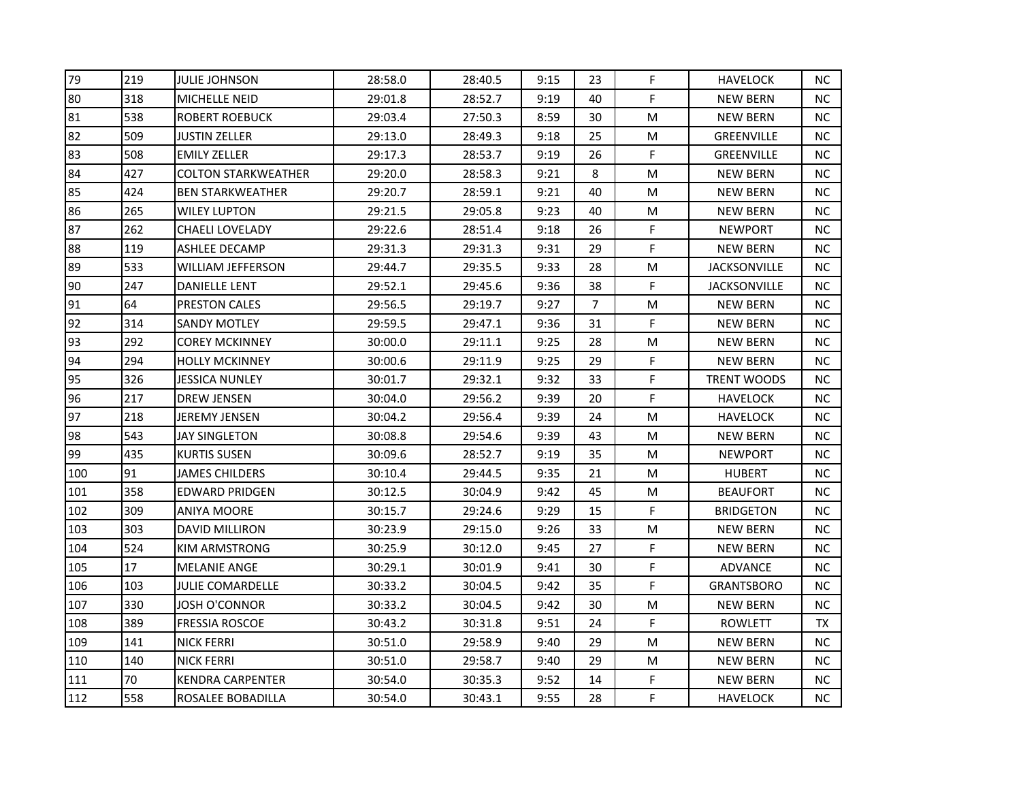| 79  | 219 | JULIE JOHNSON              | 28:58.0 | 28:40.5 | 9:15 | 23             | F. | <b>HAVELOCK</b>     | NC.       |
|-----|-----|----------------------------|---------|---------|------|----------------|----|---------------------|-----------|
| 80  | 318 | MICHELLE NEID              | 29:01.8 | 28:52.7 | 9:19 | 40             | F  | <b>NEW BERN</b>     | NC.       |
| 81  | 538 | ROBERT ROEBUCK             | 29:03.4 | 27:50.3 | 8:59 | 30             | M  | <b>NEW BERN</b>     | <b>NC</b> |
| 82  | 509 | JUSTIN ZELLER              | 29:13.0 | 28:49.3 | 9:18 | 25             | M  | <b>GREENVILLE</b>   | <b>NC</b> |
| 83  | 508 | <b>EMILY ZELLER</b>        | 29:17.3 | 28:53.7 | 9:19 | 26             | F. | <b>GREENVILLE</b>   | NC.       |
| 84  | 427 | <b>COLTON STARKWEATHER</b> | 29:20.0 | 28:58.3 | 9:21 | 8              | M  | <b>NEW BERN</b>     | <b>NC</b> |
| 85  | 424 | <b>BEN STARKWEATHER</b>    | 29:20.7 | 28:59.1 | 9:21 | 40             | M  | <b>NEW BERN</b>     | ΝC        |
| 86  | 265 | WILEY LUPTON               | 29:21.5 | 29:05.8 | 9:23 | 40             | M  | <b>NEW BERN</b>     | <b>NC</b> |
| 87  | 262 | <b>CHAELI LOVELADY</b>     | 29:22.6 | 28:51.4 | 9:18 | 26             | F  | <b>NEWPORT</b>      | <b>NC</b> |
| 88  | 119 | ASHLEE DECAMP              | 29:31.3 | 29:31.3 | 9:31 | 29             | F  | <b>NEW BERN</b>     | <b>NC</b> |
| 89  | 533 | WILLIAM JEFFERSON          | 29:44.7 | 29:35.5 | 9:33 | 28             | M  | JACKSONVILLE        | NC.       |
| 90  | 247 | <b>DANIELLE LENT</b>       | 29:52.1 | 29:45.6 | 9:36 | 38             | F  | <b>JACKSONVILLE</b> | ΝC        |
| 91  | 64  | PRESTON CALES              | 29:56.5 | 29:19.7 | 9:27 | $\overline{7}$ | M  | <b>NEW BERN</b>     | <b>NC</b> |
| 92  | 314 | SANDY MOTLEY               | 29:59.5 | 29:47.1 | 9:36 | 31             | F  | <b>NEW BERN</b>     | NC.       |
| 93  | 292 | <b>COREY MCKINNEY</b>      | 30:00.0 | 29:11.1 | 9:25 | 28             | M  | <b>NEW BERN</b>     | <b>NC</b> |
| 94  | 294 | HOLLY MCKINNEY             | 30:00.6 | 29:11.9 | 9:25 | 29             | F  | <b>NEW BERN</b>     | ΝC        |
| 95  | 326 | JESSICA NUNLEY             | 30:01.7 | 29:32.1 | 9:32 | 33             | F  | TRENT WOODS         | NC.       |
| 96  | 217 | <b>DREW JENSEN</b>         | 30:04.0 | 29:56.2 | 9:39 | 20             | F  | <b>HAVELOCK</b>     | <b>NC</b> |
| 97  | 218 | JEREMY JENSEN              | 30:04.2 | 29:56.4 | 9:39 | 24             | M  | <b>HAVELOCK</b>     | <b>NC</b> |
| 98  | 543 | JAY SINGLETON              | 30:08.8 | 29:54.6 | 9:39 | 43             | M  | <b>NEW BERN</b>     | <b>NC</b> |
| 99  | 435 | <b>KURTIS SUSEN</b>        | 30:09.6 | 28:52.7 | 9:19 | 35             | M  | <b>NEWPORT</b>      | <b>NC</b> |
| 100 | 91  | JAMES CHILDERS             | 30:10.4 | 29:44.5 | 9:35 | 21             | M  | <b>HUBERT</b>       | ΝC        |
| 101 | 358 | <b>EDWARD PRIDGEN</b>      | 30:12.5 | 30:04.9 | 9:42 | 45             | M  | <b>BEAUFORT</b>     | <b>NC</b> |
| 102 | 309 | ANIYA MOORE                | 30:15.7 | 29:24.6 | 9:29 | 15             | F  | BRIDGETON           | <b>NC</b> |
| 103 | 303 | <b>DAVID MILLIRON</b>      | 30:23.9 | 29:15.0 | 9:26 | 33             | M  | <b>NEW BERN</b>     | NC.       |
| 104 | 524 | KIM ARMSTRONG              | 30:25.9 | 30:12.0 | 9:45 | 27             | F  | <b>NEW BERN</b>     | <b>NC</b> |
| 105 | 17  | <b>MELANIE ANGE</b>        | 30:29.1 | 30:01.9 | 9:41 | 30             | F  | ADVANCE             | <b>NC</b> |
| 106 | 103 | JULIE COMARDELLE           | 30:33.2 | 30:04.5 | 9:42 | 35             | F  | <b>GRANTSBORO</b>   | NC.       |
| 107 | 330 | JOSH O'CONNOR              | 30:33.2 | 30:04.5 | 9:42 | 30             | M  | <b>NEW BERN</b>     | <b>NC</b> |
| 108 | 389 | <b>FRESSIA ROSCOE</b>      | 30:43.2 | 30:31.8 | 9:51 | 24             | F  | <b>ROWLETT</b>      | TX        |
| 109 | 141 | NICK FERRI                 | 30:51.0 | 29:58.9 | 9:40 | 29             | M  | <b>NEW BERN</b>     | <b>NC</b> |
| 110 | 140 | NICK FERRI                 | 30:51.0 | 29:58.7 | 9:40 | 29             | M  | <b>NEW BERN</b>     | <b>NC</b> |
| 111 | 70  | <b>KENDRA CARPENTER</b>    | 30:54.0 | 30:35.3 | 9:52 | 14             | F  | <b>NEW BERN</b>     | NC        |
| 112 | 558 | ROSALEE BOBADILLA          | 30:54.0 | 30:43.1 | 9:55 | 28             | F  | <b>HAVELOCK</b>     | <b>NC</b> |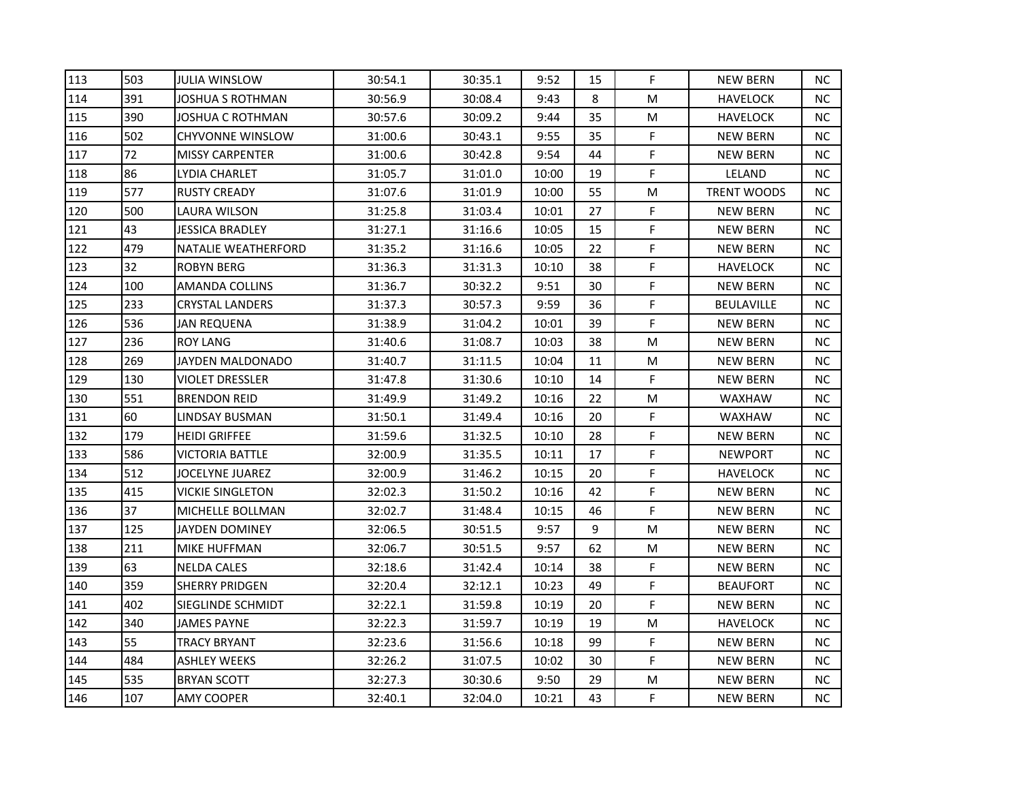| 113 | 503 | <b>JULIA WINSLOW</b>    | 30:54.1 | 30:35.1 | 9:52  | 15 | F. | <b>NEW BERN</b>    | NC.       |
|-----|-----|-------------------------|---------|---------|-------|----|----|--------------------|-----------|
| 114 | 391 | JOSHUA S ROTHMAN        | 30:56.9 | 30:08.4 | 9:43  | 8  | M  | <b>HAVELOCK</b>    | NC.       |
| 115 | 390 | JOSHUA C ROTHMAN        | 30:57.6 | 30:09.2 | 9:44  | 35 | M  | <b>HAVELOCK</b>    | <b>NC</b> |
| 116 | 502 | <b>CHYVONNE WINSLOW</b> | 31:00.6 | 30:43.1 | 9:55  | 35 | F  | <b>NEW BERN</b>    | <b>NC</b> |
| 117 | 72  | <b>MISSY CARPENTER</b>  | 31:00.6 | 30:42.8 | 9:54  | 44 | F  | <b>NEW BERN</b>    | <b>NC</b> |
| 118 | 86  | LYDIA CHARLET           | 31:05.7 | 31:01.0 | 10:00 | 19 | F  | LELAND             | <b>NC</b> |
| 119 | 577 | <b>RUSTY CREADY</b>     | 31:07.6 | 31:01.9 | 10:00 | 55 | M  | <b>TRENT WOODS</b> | ΝC        |
| 120 | 500 | LAURA WILSON            | 31:25.8 | 31:03.4 | 10:01 | 27 | F  | <b>NEW BERN</b>    | <b>NC</b> |
| 121 | 43  | <b>JESSICA BRADLEY</b>  | 31:27.1 | 31:16.6 | 10:05 | 15 | F  | <b>NEW BERN</b>    | <b>NC</b> |
| 122 | 479 | NATALIE WEATHERFORD     | 31:35.2 | 31:16.6 | 10:05 | 22 | F  | <b>NEW BERN</b>    | <b>NC</b> |
| 123 | 32  | <b>ROBYN BERG</b>       | 31:36.3 | 31:31.3 | 10:10 | 38 | F  | <b>HAVELOCK</b>    | NC.       |
| 124 | 100 | <b>AMANDA COLLINS</b>   | 31:36.7 | 30:32.2 | 9:51  | 30 | F  | <b>NEW BERN</b>    | ΝC        |
| 125 | 233 | <b>CRYSTAL LANDERS</b>  | 31:37.3 | 30:57.3 | 9:59  | 36 | F  | BEULAVILLE         | <b>NC</b> |
| 126 | 536 | JAN REQUENA             | 31:38.9 | 31:04.2 | 10:01 | 39 | F  | NEW BERN           | NC.       |
| 127 | 236 | <b>ROY LANG</b>         | 31:40.6 | 31:08.7 | 10:03 | 38 | M  | <b>NEW BERN</b>    | <b>NC</b> |
| 128 | 269 | JAYDEN MALDONADO        | 31:40.7 | 31:11.5 | 10:04 | 11 | M  | <b>NEW BERN</b>    | ΝC        |
| 129 | 130 | VIOLET DRESSLER         | 31:47.8 | 31:30.6 | 10:10 | 14 | F  | <b>NEW BERN</b>    | ΝC        |
| 130 | 551 | <b>BRENDON REID</b>     | 31:49.9 | 31:49.2 | 10:16 | 22 | M  | <b>WAXHAW</b>      | <b>NC</b> |
| 131 | 60  | LINDSAY BUSMAN          | 31:50.1 | 31:49.4 | 10:16 | 20 | F  | <b>WAXHAW</b>      | <b>NC</b> |
| 132 | 179 | <b>HEIDI GRIFFEE</b>    | 31:59.6 | 31:32.5 | 10:10 | 28 | F  | <b>NEW BERN</b>    | <b>NC</b> |
| 133 | 586 | VICTORIA BATTLE         | 32:00.9 | 31:35.5 | 10:11 | 17 | F  | <b>NEWPORT</b>     | <b>NC</b> |
| 134 | 512 | JOCELYNE JUAREZ         | 32:00.9 | 31:46.2 | 10:15 | 20 | F  | <b>HAVELOCK</b>    | ΝC        |
| 135 | 415 | <b>VICKIE SINGLETON</b> | 32:02.3 | 31:50.2 | 10:16 | 42 | F  | <b>NEW BERN</b>    | <b>NC</b> |
| 136 | 37  | MICHELLE BOLLMAN        | 32:02.7 | 31:48.4 | 10:15 | 46 | F  | <b>NEW BERN</b>    | <b>NC</b> |
| 137 | 125 | JAYDEN DOMINEY          | 32:06.5 | 30:51.5 | 9:57  | 9  | M  | <b>NEW BERN</b>    | NC.       |
| 138 | 211 | MIKE HUFFMAN            | 32:06.7 | 30:51.5 | 9:57  | 62 | M  | <b>NEW BERN</b>    | <b>NC</b> |
| 139 | 63  | <b>NELDA CALES</b>      | 32:18.6 | 31:42.4 | 10:14 | 38 | F  | <b>NEW BERN</b>    | ΝC        |
| 140 | 359 | <b>SHERRY PRIDGEN</b>   | 32:20.4 | 32:12.1 | 10:23 | 49 | F  | <b>BEAUFORT</b>    | NC.       |
| 141 | 402 | SIEGLINDE SCHMIDT       | 32:22.1 | 31:59.8 | 10:19 | 20 | F  | <b>NEW BERN</b>    | <b>NC</b> |
| 142 | 340 | <b>JAMES PAYNE</b>      | 32:22.3 | 31:59.7 | 10:19 | 19 | M  | <b>HAVELOCK</b>    | <b>NC</b> |
| 143 | 55  | TRACY BRYANT            | 32:23.6 | 31:56.6 | 10:18 | 99 | F  | <b>NEW BERN</b>    | <b>NC</b> |
| 144 | 484 | ASHLEY WEEKS            | 32:26.2 | 31:07.5 | 10:02 | 30 | F  | <b>NEW BERN</b>    | <b>NC</b> |
| 145 | 535 | <b>BRYAN SCOTT</b>      | 32:27.3 | 30:30.6 | 9:50  | 29 | M  | <b>NEW BERN</b>    | NC        |
| 146 | 107 | AMY COOPER              | 32:40.1 | 32:04.0 | 10:21 | 43 | F  | <b>NEW BERN</b>    | <b>NC</b> |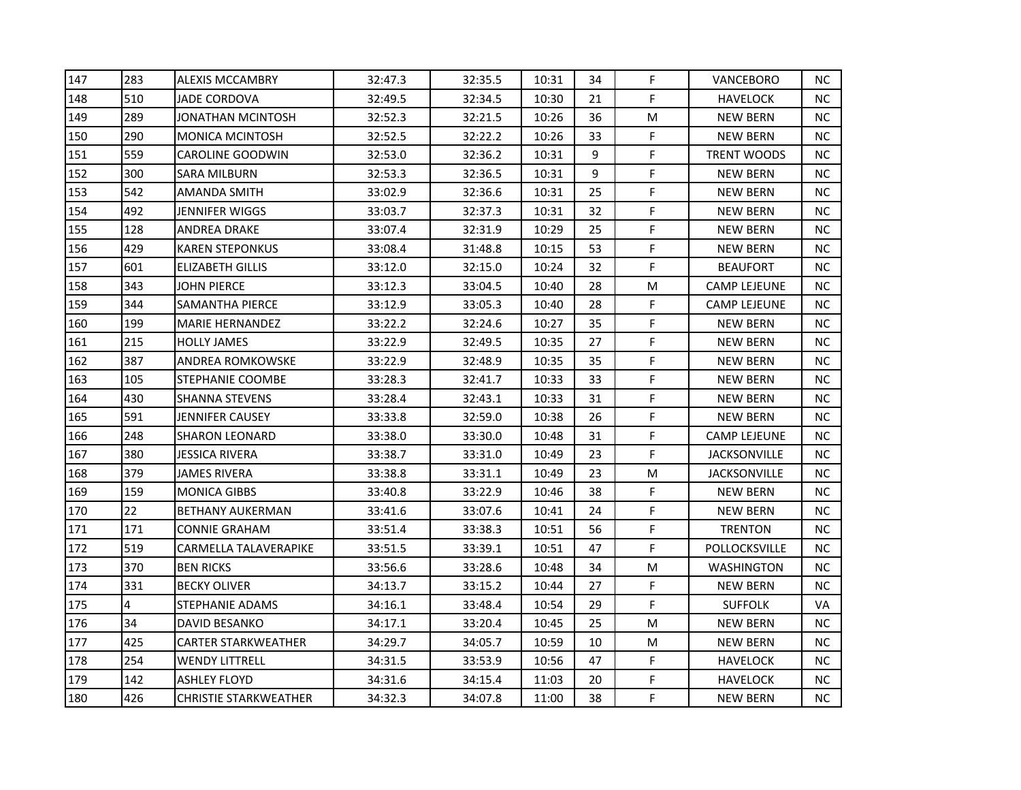| 147 | 283 | <b>ALEXIS MCCAMBRY</b>       | 32:47.3 | 32:35.5 | 10:31 | 34 | F           | VANCEBORO           | <b>NC</b> |
|-----|-----|------------------------------|---------|---------|-------|----|-------------|---------------------|-----------|
| 148 | 510 | <b>JADE CORDOVA</b>          | 32:49.5 | 32:34.5 | 10:30 | 21 | F           | <b>HAVELOCK</b>     | NC.       |
| 149 | 289 | JONATHAN MCINTOSH            | 32:52.3 | 32:21.5 | 10:26 | 36 | M           | NEW BERN            | NC.       |
| 150 | 290 | <b>MONICA MCINTOSH</b>       | 32:52.5 | 32:22.2 | 10:26 | 33 | F           | <b>NEW BERN</b>     | NC.       |
| 151 | 559 | <b>CAROLINE GOODWIN</b>      | 32:53.0 | 32:36.2 | 10:31 | 9  | $\mathsf F$ | <b>TRENT WOODS</b>  | NC.       |
| 152 | 300 | SARA MILBURN                 | 32:53.3 | 32:36.5 | 10:31 | 9  | F           | <b>NEW BERN</b>     | NC.       |
| 153 | 542 | AMANDA SMITH                 | 33:02.9 | 32:36.6 | 10:31 | 25 | F           | <b>NEW BERN</b>     | NC.       |
| 154 | 492 | JENNIFER WIGGS               | 33:03.7 | 32:37.3 | 10:31 | 32 | F           | <b>NEW BERN</b>     | NC.       |
| 155 | 128 | ANDREA DRAKE                 | 33:07.4 | 32:31.9 | 10:29 | 25 | F           | <b>NEW BERN</b>     | NC.       |
| 156 | 429 | <b>KAREN STEPONKUS</b>       | 33:08.4 | 31:48.8 | 10:15 | 53 | F           | <b>NEW BERN</b>     | NC.       |
| 157 | 601 | ELIZABETH GILLIS             | 33:12.0 | 32:15.0 | 10:24 | 32 | F           | <b>BEAUFORT</b>     | NC.       |
| 158 | 343 | JOHN PIERCE                  | 33:12.3 | 33:04.5 | 10:40 | 28 | M           | <b>CAMP LEJEUNE</b> | NC.       |
| 159 | 344 | SAMANTHA PIERCE              | 33:12.9 | 33:05.3 | 10:40 | 28 | F           | <b>CAMP LEJEUNE</b> | NC.       |
| 160 | 199 | <b>MARIE HERNANDEZ</b>       | 33:22.2 | 32:24.6 | 10:27 | 35 | F           | <b>NEW BERN</b>     | NC.       |
| 161 | 215 | <b>HOLLY JAMES</b>           | 33:22.9 | 32:49.5 | 10:35 | 27 | F           | <b>NEW BERN</b>     | NC.       |
| 162 | 387 | ANDREA ROMKOWSKE             | 33:22.9 | 32:48.9 | 10:35 | 35 | F           | <b>NEW BERN</b>     | NС        |
| 163 | 105 | STEPHANIE COOMBE             | 33:28.3 | 32:41.7 | 10:33 | 33 | F           | <b>NEW BERN</b>     | NC.       |
| 164 | 430 | <b>SHANNA STEVENS</b>        | 33:28.4 | 32:43.1 | 10:33 | 31 | F           | <b>NEW BERN</b>     | NC        |
| 165 | 591 | JENNIFER CAUSEY              | 33:33.8 | 32:59.0 | 10:38 | 26 | F           | <b>NEW BERN</b>     | <b>NC</b> |
| 166 | 248 | SHARON LEONARD               | 33:38.0 | 33:30.0 | 10:48 | 31 | F           | <b>CAMP LEJEUNE</b> | NC.       |
| 167 | 380 | JESSICA RIVERA               | 33:38.7 | 33:31.0 | 10:49 | 23 | F           | <b>JACKSONVILLE</b> | NC.       |
| 168 | 379 | JAMES RIVERA                 | 33:38.8 | 33:31.1 | 10:49 | 23 | M           | <b>JACKSONVILLE</b> | NC.       |
| 169 | 159 | <b>MONICA GIBBS</b>          | 33:40.8 | 33:22.9 | 10:46 | 38 | F           | <b>NEW BERN</b>     | NC.       |
| 170 | 22  | BETHANY AUKERMAN             | 33:41.6 | 33:07.6 | 10:41 | 24 | F           | <b>NEW BERN</b>     | NC.       |
| 171 | 171 | <b>CONNIE GRAHAM</b>         | 33:51.4 | 33:38.3 | 10:51 | 56 | F           | <b>TRENTON</b>      | NC.       |
| 172 | 519 | CARMELLA TALAVERAPIKE        | 33:51.5 | 33:39.1 | 10:51 | 47 | F           | POLLOCKSVILLE       | NC.       |
| 173 | 370 | <b>BEN RICKS</b>             | 33:56.6 | 33:28.6 | 10:48 | 34 | M           | WASHINGTON          | NC.       |
| 174 | 331 | <b>BECKY OLIVER</b>          | 34:13.7 | 33:15.2 | 10:44 | 27 | F           | <b>NEW BERN</b>     | NC.       |
| 175 | 4   | STEPHANIE ADAMS              | 34:16.1 | 33:48.4 | 10:54 | 29 | F           | <b>SUFFOLK</b>      | VA        |
| 176 | 34  | <b>DAVID BESANKO</b>         | 34:17.1 | 33:20.4 | 10:45 | 25 | M           | <b>NEW BERN</b>     | NC.       |
| 177 | 425 | <b>CARTER STARKWEATHER</b>   | 34:29.7 | 34:05.7 | 10:59 | 10 | M           | <b>NEW BERN</b>     | NC.       |
| 178 | 254 | WENDY LITTRELL               | 34:31.5 | 33:53.9 | 10:56 | 47 | F           | <b>HAVELOCK</b>     | NC.       |
| 179 | 142 | <b>ASHLEY FLOYD</b>          | 34:31.6 | 34:15.4 | 11:03 | 20 | F           | <b>HAVELOCK</b>     | NC.       |
| 180 | 426 | <b>CHRISTIE STARKWEATHER</b> | 34:32.3 | 34:07.8 | 11:00 | 38 | F           | <b>NEW BERN</b>     | NC        |
|     |     |                              |         |         |       |    |             |                     |           |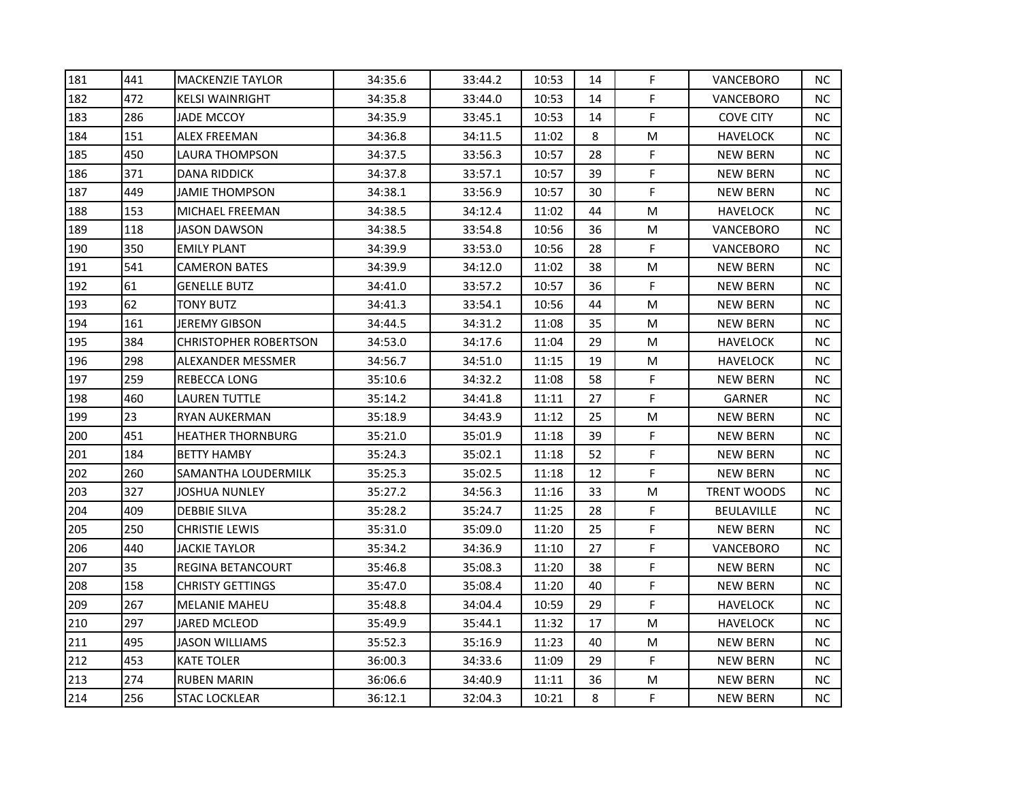| 181 | 441 | <b>MACKENZIE TAYLOR</b>      | 34:35.6 | 33:44.2 | 10:53 | 14 | F | VANCEBORO          | NC.       |
|-----|-----|------------------------------|---------|---------|-------|----|---|--------------------|-----------|
| 182 | 472 | <b>KELSI WAINRIGHT</b>       | 34:35.8 | 33:44.0 | 10:53 | 14 | F | <b>VANCEBORO</b>   | NC.       |
| 183 | 286 | JADE MCCOY.                  | 34:35.9 | 33:45.1 | 10:53 | 14 | F | <b>COVE CITY</b>   | NC.       |
| 184 | 151 | ALEX FREEMAN                 | 34:36.8 | 34:11.5 | 11:02 | 8  | M | <b>HAVELOCK</b>    | NC.       |
| 185 | 450 | LAURA THOMPSON               | 34:37.5 | 33:56.3 | 10:57 | 28 | F | <b>NEW BERN</b>    | NC.       |
| 186 | 371 | DANA RIDDICK                 | 34:37.8 | 33:57.1 | 10:57 | 39 | F | <b>NEW BERN</b>    | NC.       |
| 187 | 449 | JAMIE THOMPSON               | 34:38.1 | 33:56.9 | 10:57 | 30 | F | <b>NEW BERN</b>    | NC.       |
| 188 | 153 | MICHAEL FREEMAN              | 34:38.5 | 34:12.4 | 11:02 | 44 | M | <b>HAVELOCK</b>    | NC.       |
| 189 | 118 | JASON DAWSON                 | 34:38.5 | 33:54.8 | 10:56 | 36 | M | VANCEBORO          | NC.       |
| 190 | 350 | <b>EMILY PLANT</b>           | 34:39.9 | 33:53.0 | 10:56 | 28 | F | VANCEBORO          | NC.       |
| 191 | 541 | <b>CAMERON BATES</b>         | 34:39.9 | 34:12.0 | 11:02 | 38 | M | <b>NEW BERN</b>    | NC.       |
| 192 | 61  | <b>GENELLE BUTZ</b>          | 34:41.0 | 33:57.2 | 10:57 | 36 | F | <b>NEW BERN</b>    | NC.       |
| 193 | 62  | TONY BUTZ                    | 34:41.3 | 33:54.1 | 10:56 | 44 | M | <b>NEW BERN</b>    | NC        |
| 194 | 161 | JEREMY GIBSON                | 34:44.5 | 34:31.2 | 11:08 | 35 | M | NEW BERN           | NC.       |
| 195 | 384 | <b>CHRISTOPHER ROBERTSON</b> | 34:53.0 | 34:17.6 | 11:04 | 29 | M | <b>HAVELOCK</b>    | NC.       |
| 196 | 298 | ALEXANDER MESSMER            | 34:56.7 | 34:51.0 | 11:15 | 19 | M | <b>HAVELOCK</b>    | NC        |
| 197 | 259 | REBECCA LONG                 | 35:10.6 | 34:32.2 | 11:08 | 58 | F | <b>NEW BERN</b>    | NC.       |
| 198 | 460 | LAUREN TUTTLE                | 35:14.2 | 34:41.8 | 11:11 | 27 | F | <b>GARNER</b>      | NC        |
| 199 | 23  | RYAN AUKERMAN                | 35:18.9 | 34:43.9 | 11:12 | 25 | M | <b>NEW BERN</b>    | NC.       |
| 200 | 451 | <b>HEATHER THORNBURG</b>     | 35:21.0 | 35:01.9 | 11:18 | 39 | F | <b>NEW BERN</b>    | NC.       |
| 201 | 184 | <b>BETTY HAMBY</b>           | 35:24.3 | 35:02.1 | 11:18 | 52 | F | <b>NEW BERN</b>    | <b>NC</b> |
| 202 | 260 | SAMANTHA LOUDERMILK          | 35:25.3 | 35:02.5 | 11:18 | 12 | F | <b>NEW BERN</b>    | NC.       |
| 203 | 327 | JOSHUA NUNLEY                | 35:27.2 | 34:56.3 | 11:16 | 33 | M | <b>TRENT WOODS</b> | NC.       |
| 204 | 409 | <b>DEBBIE SILVA</b>          | 35:28.2 | 35:24.7 | 11:25 | 28 | F | BEULAVILLE         | NC.       |
| 205 | 250 | CHRISTIE LEWIS               | 35:31.0 | 35:09.0 | 11:20 | 25 | F | <b>NEW BERN</b>    | NC.       |
| 206 | 440 | JACKIE TAYLOR                | 35:34.2 | 34:36.9 | 11:10 | 27 | F | VANCEBORO          | NC.       |
| 207 | 35  | REGINA BETANCOURT            | 35:46.8 | 35:08.3 | 11:20 | 38 | F | <b>NEW BERN</b>    | NC.       |
| 208 | 158 | <b>CHRISTY GETTINGS</b>      | 35:47.0 | 35:08.4 | 11:20 | 40 | F | <b>NEW BERN</b>    | NC.       |
| 209 | 267 | <b>MELANIE MAHEU</b>         | 35:48.8 | 34:04.4 | 10:59 | 29 | F | HAVELOCK           | NC.       |
| 210 | 297 | JARED MCLEOD                 | 35:49.9 | 35:44.1 | 11:32 | 17 | M | <b>HAVELOCK</b>    | NC.       |
| 211 | 495 | JASON WILLIAMS               | 35:52.3 | 35:16.9 | 11:23 | 40 | M | <b>NEW BERN</b>    | NC.       |
| 212 | 453 | KATE TOLER                   | 36:00.3 | 34:33.6 | 11:09 | 29 | F | <b>NEW BERN</b>    | NC.       |
| 213 | 274 | <b>RUBEN MARIN</b>           | 36:06.6 | 34:40.9 | 11:11 | 36 | M | <b>NEW BERN</b>    | NC.       |
| 214 | 256 | STAC LOCKLEAR                | 36:12.1 | 32:04.3 | 10:21 | 8  | F | <b>NEW BERN</b>    | NC        |
|     |     |                              |         |         |       |    |   |                    |           |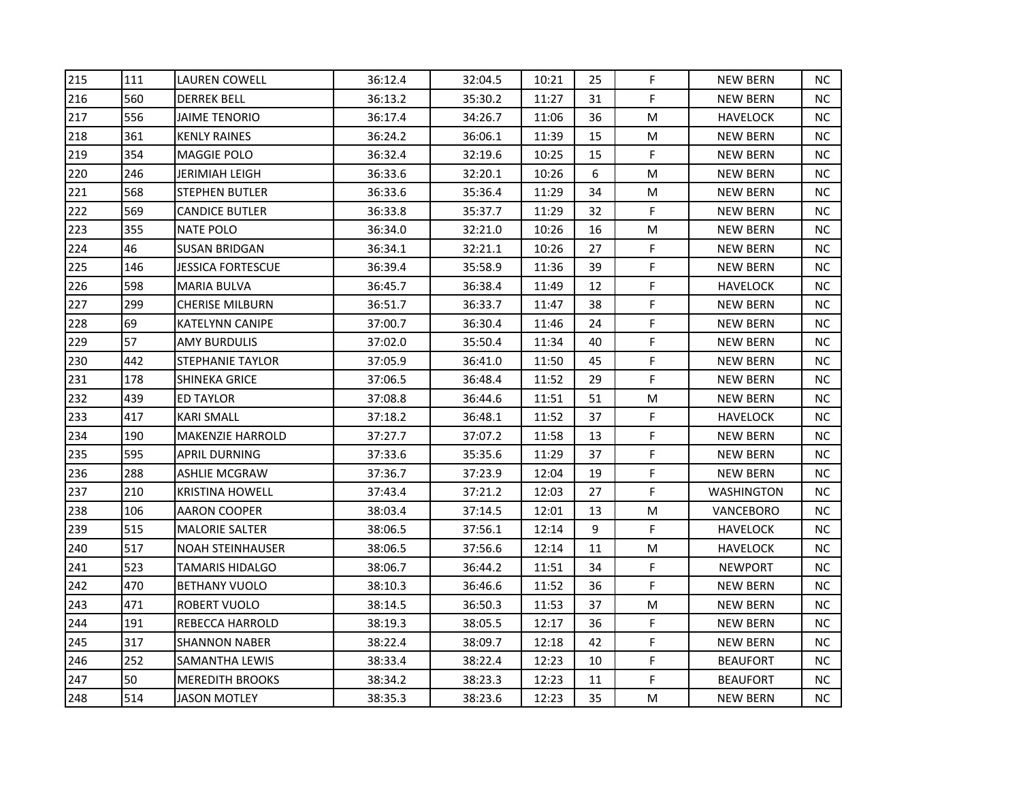| 215 | 111 | LAUREN COWELL           | 36:12.4 | 32:04.5 | 10:21 | 25 | F         | <b>NEW BERN</b> | <b>NC</b> |
|-----|-----|-------------------------|---------|---------|-------|----|-----------|-----------------|-----------|
| 216 | 560 | <b>DERREK BELL</b>      | 36:13.2 | 35:30.2 | 11:27 | 31 | F         | <b>NEW BERN</b> | ΝC        |
| 217 | 556 | JAIME TENORIO           | 36:17.4 | 34:26.7 | 11:06 | 36 | M         | HAVELOCK        | NC.       |
| 218 | 361 | <b>KENLY RAINES</b>     | 36:24.2 | 36:06.1 | 11:39 | 15 | M         | <b>NEW BERN</b> | NC.       |
| 219 | 354 | MAGGIE POLO             | 36:32.4 | 32:19.6 | 10:25 | 15 | F         | <b>NEW BERN</b> | NC.       |
| 220 | 246 | JERIMIAH LEIGH          | 36:33.6 | 32:20.1 | 10:26 | 6  | M         | <b>NEW BERN</b> | NC.       |
| 221 | 568 | <b>STEPHEN BUTLER</b>   | 36:33.6 | 35:36.4 | 11:29 | 34 | M         | <b>NEW BERN</b> | <b>NC</b> |
| 222 | 569 | CANDICE BUTLER          | 36:33.8 | 35:37.7 | 11:29 | 32 | F         | <b>NEW BERN</b> | <b>NC</b> |
| 223 | 355 | NATE POLO               | 36:34.0 | 32:21.0 | 10:26 | 16 | M         | NEW BERN        | <b>NC</b> |
| 224 | 46  | <b>SUSAN BRIDGAN</b>    | 36:34.1 | 32:21.1 | 10:26 | 27 | F         | <b>NEW BERN</b> | <b>NC</b> |
| 225 | 146 | JESSICA FORTESCUE       | 36:39.4 | 35:58.9 | 11:36 | 39 | F         | <b>NEW BERN</b> | ΝC        |
| 226 | 598 | <b>MARIA BULVA</b>      | 36:45.7 | 36:38.4 | 11:49 | 12 | F         | <b>HAVELOCK</b> | NC.       |
| 227 | 299 | <b>CHERISE MILBURN</b>  | 36:51.7 | 36:33.7 | 11:47 | 38 | F         | <b>NEW BERN</b> | NC.       |
| 228 | 69  | KATELYNN CANIPE         | 37:00.7 | 36:30.4 | 11:46 | 24 | F         | <b>NEW BERN</b> | ΝC        |
| 229 | 57  | AMY BURDULIS            | 37:02.0 | 35:50.4 | 11:34 | 40 | F         | <b>NEW BERN</b> | NC.       |
| 230 | 442 | STEPHANIE TAYLOR        | 37:05.9 | 36:41.0 | 11:50 | 45 | F         | <b>NEW BERN</b> | <b>NC</b> |
| 231 | 178 | SHINEKA GRICE           | 37:06.5 | 36:48.4 | 11:52 | 29 | F         | <b>NEW BERN</b> | ΝC        |
| 232 | 439 | ED TAYLOR               | 37:08.8 | 36:44.6 | 11:51 | 51 | M         | <b>NEW BERN</b> | <b>NC</b> |
| 233 | 417 | KARI SMALL              | 37:18.2 | 36:48.1 | 11:52 | 37 | F         | HAVELOCK        | <b>NC</b> |
| 234 | 190 | <b>MAKENZIE HARROLD</b> | 37:27.7 | 37:07.2 | 11:58 | 13 | F         | <b>NEW BERN</b> | NC        |
| 235 | 595 | APRIL DURNING           | 37:33.6 | 35:35.6 | 11:29 | 37 | F         | <b>NEW BERN</b> | <b>NC</b> |
| 236 | 288 | ASHLIE MCGRAW           | 37:36.7 | 37:23.9 | 12:04 | 19 | F         | <b>NEW BERN</b> | NC.       |
| 237 | 210 | <b>KRISTINA HOWELL</b>  | 37:43.4 | 37:21.2 | 12:03 | 27 | F         | WASHINGTON      | <b>NC</b> |
| 238 | 106 | AARON COOPER            | 38:03.4 | 37:14.5 | 12:01 | 13 | M         | VANCEBORO       | NC.       |
| 239 | 515 | <b>MALORIE SALTER</b>   | 38:06.5 | 37:56.1 | 12:14 | 9  | F         | HAVELOCK        | <b>NC</b> |
| 240 | 517 | <b>NOAH STEINHAUSER</b> | 38:06.5 | 37:56.6 | 12:14 | 11 | M         | <b>HAVELOCK</b> | NC.       |
| 241 | 523 | TAMARIS HIDALGO         | 38:06.7 | 36:44.2 | 11:51 | 34 | F         | <b>NEWPORT</b>  | ΝC        |
| 242 | 470 | <b>BETHANY VUOLO</b>    | 38:10.3 | 36:46.6 | 11:52 | 36 | F         | <b>NEW BERN</b> | ΝC        |
| 243 | 471 | ROBERT VUOLO            | 38:14.5 | 36:50.3 | 11:53 | 37 | M         | <b>NEW BERN</b> | <b>NC</b> |
| 244 | 191 | REBECCA HARROLD         | 38:19.3 | 38:05.5 | 12:17 | 36 | F         | <b>NEW BERN</b> | <b>NC</b> |
| 245 | 317 | <b>SHANNON NABER</b>    | 38:22.4 | 38:09.7 | 12:18 | 42 | F         | <b>NEW BERN</b> | NC.       |
| 246 | 252 | SAMANTHA LEWIS          | 38:33.4 | 38:22.4 | 12:23 | 10 | F         | <b>BEAUFORT</b> | NC        |
| 247 | 50  | <b>MEREDITH BROOKS</b>  | 38:34.2 | 38:23.3 | 12:23 | 11 | F         | <b>BEAUFORT</b> | NC        |
| 248 | 514 | JASON MOTLEY            | 38:35.3 | 38:23.6 | 12:23 | 35 | ${\sf M}$ | <b>NEW BERN</b> | <b>NC</b> |
|     |     |                         |         |         |       |    |           |                 |           |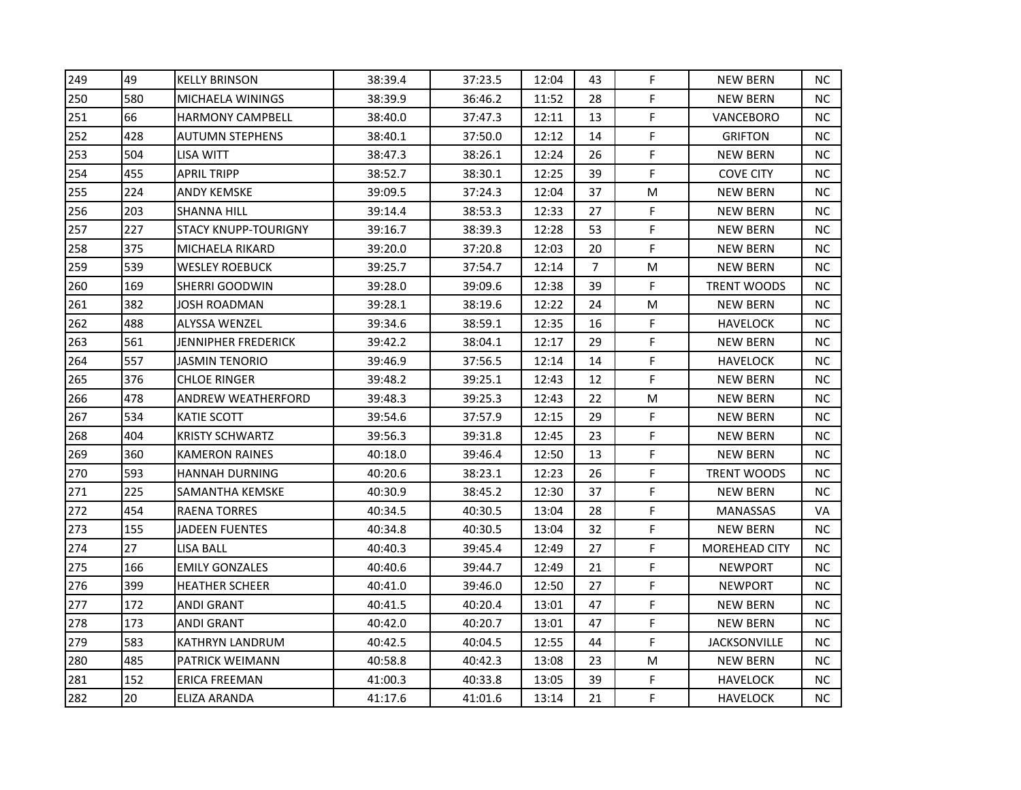| 249 | 49  | <b>KELLY BRINSON</b>        | 38:39.4 | 37:23.5 | 12:04 | 43             | F  | <b>NEW BERN</b>      | <b>NC</b> |
|-----|-----|-----------------------------|---------|---------|-------|----------------|----|----------------------|-----------|
| 250 | 580 | <b>MICHAELA WININGS</b>     | 38:39.9 | 36:46.2 | 11:52 | 28             | F. | <b>NEW BERN</b>      | NC.       |
| 251 | 66  | <b>HARMONY CAMPBELL</b>     | 38:40.0 | 37:47.3 | 12:11 | 13             | F  | VANCEBORO            | <b>NC</b> |
| 252 | 428 | AUTUMN STEPHENS             | 38:40.1 | 37:50.0 | 12:12 | 14             | F  | <b>GRIFTON</b>       | ΝC        |
| 253 | 504 | LISA WITT                   | 38:47.3 | 38:26.1 | 12:24 | 26             | F  | <b>NEW BERN</b>      | <b>NC</b> |
| 254 | 455 | APRIL TRIPP                 | 38:52.7 | 38:30.1 | 12:25 | 39             | F  | <b>COVE CITY</b>     | <b>NC</b> |
| 255 | 224 | <b>ANDY KEMSKE</b>          | 39:09.5 | 37:24.3 | 12:04 | 37             | M  | <b>NEW BERN</b>      | <b>NC</b> |
| 256 | 203 | SHANNA HILL                 | 39:14.4 | 38:53.3 | 12:33 | 27             | F  | <b>NEW BERN</b>      | <b>NC</b> |
| 257 | 227 | <b>STACY KNUPP-TOURIGNY</b> | 39:16.7 | 38:39.3 | 12:28 | 53             | F  | <b>NEW BERN</b>      | <b>NC</b> |
| 258 | 375 | MICHAELA RIKARD             | 39:20.0 | 37:20.8 | 12:03 | 20             | F  | <b>NEW BERN</b>      | <b>NC</b> |
| 259 | 539 | <b>WESLEY ROEBUCK</b>       | 39:25.7 | 37:54.7 | 12:14 | $\overline{7}$ | M  | <b>NEW BERN</b>      | NC.       |
| 260 | 169 | SHERRI GOODWIN              | 39:28.0 | 39:09.6 | 12:38 | 39             | F  | <b>TRENT WOODS</b>   | NC.       |
| 261 | 382 | JOSH ROADMAN                | 39:28.1 | 38:19.6 | 12:22 | 24             | M  | <b>NEW BERN</b>      | <b>NC</b> |
| 262 | 488 | ALYSSA WENZEL               | 39:34.6 | 38:59.1 | 12:35 | 16             | F. | HAVELOCK             | NC.       |
| 263 | 561 | JENNIPHER FREDERICK         | 39:42.2 | 38:04.1 | 12:17 | 29             | F  | <b>NEW BERN</b>      | <b>NC</b> |
| 264 | 557 | JASMIN TENORIO              | 39:46.9 | 37:56.5 | 12:14 | 14             | F  | <b>HAVELOCK</b>      | ΝC        |
| 265 | 376 | <b>CHLOE RINGER</b>         | 39:48.2 | 39:25.1 | 12:43 | 12             | F  | <b>NEW BERN</b>      | NC.       |
| 266 | 478 | <b>ANDREW WEATHERFORD</b>   | 39:48.3 | 39:25.3 | 12:43 | 22             | M  | <b>NEW BERN</b>      | <b>NC</b> |
| 267 | 534 | KATIE SCOTT                 | 39:54.6 | 37:57.9 | 12:15 | 29             | F  | <b>NEW BERN</b>      | <b>NC</b> |
| 268 | 404 | <b>KRISTY SCHWARTZ</b>      | 39:56.3 | 39:31.8 | 12:45 | 23             | F  | <b>NEW BERN</b>      | NC.       |
| 269 | 360 | KAMERON RAINES              | 40:18.0 | 39:46.4 | 12:50 | 13             | F  | <b>NEW BERN</b>      | <b>NC</b> |
| 270 | 593 | <b>HANNAH DURNING</b>       | 40:20.6 | 38:23.1 | 12:23 | 26             | F  | <b>TRENT WOODS</b>   | ΝC        |
| 271 | 225 | SAMANTHA KEMSKE             | 40:30.9 | 38:45.2 | 12:30 | 37             | F  | <b>NEW BERN</b>      | <b>NC</b> |
| 272 | 454 | <b>RAENA TORRES</b>         | 40:34.5 | 40:30.5 | 13:04 | 28             | F  | <b>MANASSAS</b>      | VA        |
| 273 | 155 | JADEEN FUENTES              | 40:34.8 | 40:30.5 | 13:04 | 32             | F  | <b>NEW BERN</b>      | ΝC        |
| 274 | 27  | LISA BALL                   | 40:40.3 | 39:45.4 | 12:49 | 27             | F  | <b>MOREHEAD CITY</b> | NC.       |
| 275 | 166 | <b>EMILY GONZALES</b>       | 40:40.6 | 39:44.7 | 12:49 | 21             | F  | <b>NEWPORT</b>       | <b>NC</b> |
| 276 | 399 | <b>HEATHER SCHEER</b>       | 40:41.0 | 39:46.0 | 12:50 | 27             | F  | <b>NEWPORT</b>       | <b>NC</b> |
| 277 | 172 | ANDI GRANT                  | 40:41.5 | 40:20.4 | 13:01 | 47             | F  | NEW BERN             | <b>NC</b> |
| 278 | 173 | ANDI GRANT                  | 40:42.0 | 40:20.7 | 13:01 | 47             | F  | <b>NEW BERN</b>      | <b>NC</b> |
| 279 | 583 | KATHRYN LANDRUM             | 40:42.5 | 40:04.5 | 12:55 | 44             | F  | <b>JACKSONVILLE</b>  | <b>NC</b> |
| 280 | 485 | PATRICK WEIMANN             | 40:58.8 | 40:42.3 | 13:08 | 23             | M  | <b>NEW BERN</b>      | <b>NC</b> |
| 281 | 152 | <b>ERICA FREEMAN</b>        | 41:00.3 | 40:33.8 | 13:05 | 39             | F  | <b>HAVELOCK</b>      | NC.       |
| 282 | 20  | ELIZA ARANDA                | 41:17.6 | 41:01.6 | 13:14 | 21             | F  | <b>HAVELOCK</b>      | <b>NC</b> |
|     |     |                             |         |         |       |                |    |                      |           |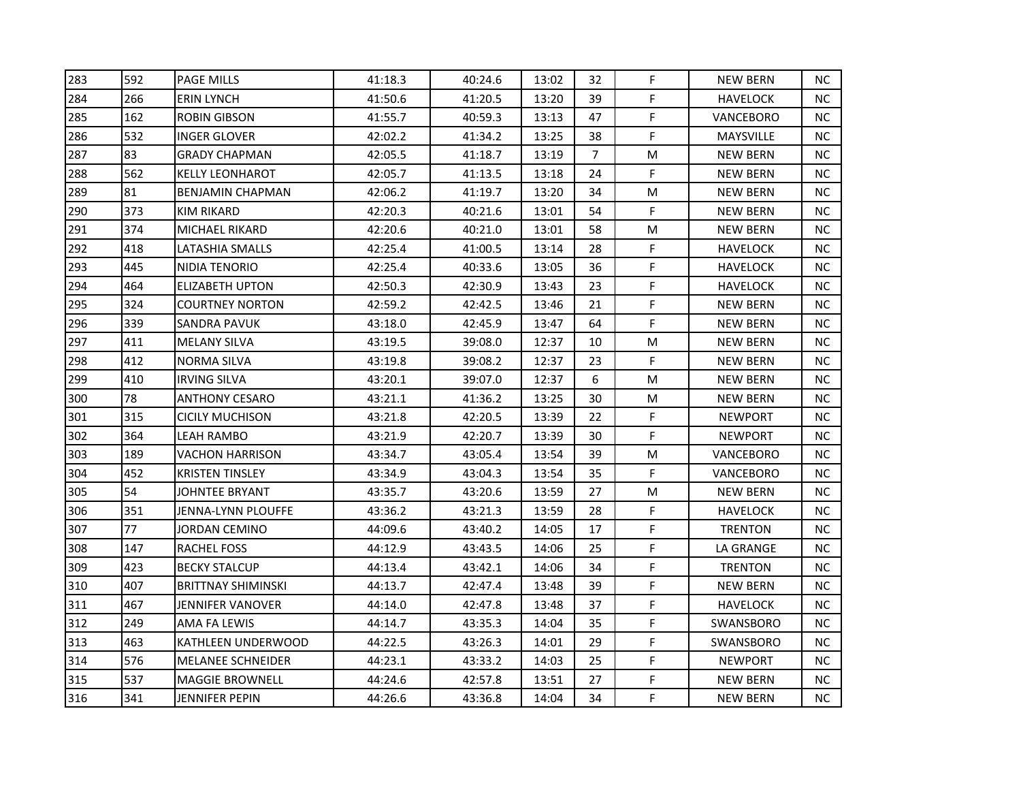| 283 | 592 | <b>PAGE MILLS</b>         | 41:18.3 | 40:24.6 | 13:02 | 32             | F | <b>NEW BERN</b> | <b>NC</b> |
|-----|-----|---------------------------|---------|---------|-------|----------------|---|-----------------|-----------|
| 284 | 266 | <b>ERIN LYNCH</b>         | 41:50.6 | 41:20.5 | 13:20 | 39             | F | <b>HAVELOCK</b> | ΝC        |
| 285 | 162 | <b>ROBIN GIBSON</b>       | 41:55.7 | 40:59.3 | 13:13 | 47             | F | VANCEBORO       | NC.       |
| 286 | 532 | INGER GLOVER              | 42:02.2 | 41:34.2 | 13:25 | 38             | F | MAYSVILLE       | NC.       |
| 287 | 83  | GRADY CHAPMAN             | 42:05.5 | 41:18.7 | 13:19 | $\overline{7}$ | M | <b>NEW BERN</b> | NC.       |
| 288 | 562 | <b>KELLY LEONHAROT</b>    | 42:05.7 | 41:13.5 | 13:18 | 24             | F | <b>NEW BERN</b> | NC.       |
| 289 | 81  | BENJAMIN CHAPMAN          | 42:06.2 | 41:19.7 | 13:20 | 34             | M | <b>NEW BERN</b> | <b>NC</b> |
| 290 | 373 | KIM RIKARD                | 42:20.3 | 40:21.6 | 13:01 | 54             | F | <b>NEW BERN</b> | <b>NC</b> |
| 291 | 374 | MICHAEL RIKARD            | 42:20.6 | 40:21.0 | 13:01 | 58             | M | NEW BERN        | NC.       |
| 292 | 418 | LATASHIA SMALLS           | 42:25.4 | 41:00.5 | 13:14 | 28             | F | <b>HAVELOCK</b> | <b>NC</b> |
| 293 | 445 | NIDIA TENORIO             | 42:25.4 | 40:33.6 | 13:05 | 36             | F | <b>HAVELOCK</b> | ΝC        |
| 294 | 464 | ELIZABETH UPTON           | 42:50.3 | 42:30.9 | 13:43 | 23             | F | <b>HAVELOCK</b> | NC.       |
| 295 | 324 | <b>COURTNEY NORTON</b>    | 42:59.2 | 42:42.5 | 13:46 | 21             | F | <b>NEW BERN</b> | <b>NC</b> |
| 296 | 339 | SANDRA PAVUK              | 43:18.0 | 42:45.9 | 13:47 | 64             | F | <b>NEW BERN</b> | <b>NC</b> |
| 297 | 411 | <b>MELANY SILVA</b>       | 43:19.5 | 39:08.0 | 12:37 | 10             | M | <b>NEW BERN</b> | NC.       |
| 298 | 412 | NORMA SILVA               | 43:19.8 | 39:08.2 | 12:37 | 23             | F | <b>NEW BERN</b> | <b>NC</b> |
| 299 | 410 | <b>IRVING SILVA</b>       | 43:20.1 | 39:07.0 | 12:37 | 6              | M | <b>NEW BERN</b> | ΝC        |
| 300 | 78  | <b>ANTHONY CESARO</b>     | 43:21.1 | 41:36.2 | 13:25 | 30             | M | <b>NEW BERN</b> | <b>NC</b> |
| 301 | 315 | CICILY MUCHISON           | 43:21.8 | 42:20.5 | 13:39 | 22             | F | <b>NEWPORT</b>  | <b>NC</b> |
| 302 | 364 | LEAH RAMBO                | 43:21.9 | 42:20.7 | 13:39 | 30             | F | <b>NEWPORT</b>  | NC.       |
| 303 | 189 | VACHON HARRISON           | 43:34.7 | 43:05.4 | 13:54 | 39             | M | VANCEBORO       | <b>NC</b> |
| 304 | 452 | <b>KRISTEN TINSLEY</b>    | 43:34.9 | 43:04.3 | 13:54 | 35             | F | VANCEBORO       | NC.       |
| 305 | 54  | <b>JOHNTEE BRYANT</b>     | 43:35.7 | 43:20.6 | 13:59 | 27             | M | <b>NEW BERN</b> | <b>NC</b> |
| 306 | 351 | JENNA-LYNN PLOUFFE        | 43:36.2 | 43:21.3 | 13:59 | 28             | F | HAVELOCK        | NC.       |
| 307 | 77  | JORDAN CEMINO             | 44:09.6 | 43:40.2 | 14:05 | 17             | F | <b>TRENTON</b>  | <b>NC</b> |
| 308 | 147 | RACHEL FOSS               | 44:12.9 | 43:43.5 | 14:06 | 25             | F | LA GRANGE       | <b>NC</b> |
| 309 | 423 | <b>BECKY STALCUP</b>      | 44:13.4 | 43:42.1 | 14:06 | 34             | F | <b>TRENTON</b>  | ΝC        |
| 310 | 407 | <b>BRITTNAY SHIMINSKI</b> | 44:13.7 | 42:47.4 | 13:48 | 39             | F | <b>NEW BERN</b> | ΝC        |
| 311 | 467 | JENNIFER VANOVER          | 44:14.0 | 42:47.8 | 13:48 | 37             | F | <b>HAVELOCK</b> | <b>NC</b> |
| 312 | 249 | AMA FA LEWIS              | 44:14.7 | 43:35.3 | 14:04 | 35             | F | SWANSBORO       | <b>NC</b> |
| 313 | 463 | KATHLEEN UNDERWOOD        | 44:22.5 | 43:26.3 | 14:01 | 29             | F | SWANSBORO       | NC.       |
| 314 | 576 | <b>MELANEE SCHNEIDER</b>  | 44:23.1 | 43:33.2 | 14:03 | 25             | F | <b>NEWPORT</b>  | NC        |
| 315 | 537 | <b>MAGGIE BROWNELL</b>    | 44:24.6 | 42:57.8 | 13:51 | 27             | F | <b>NEW BERN</b> | NC        |
| 316 | 341 | JENNIFER PEPIN            | 44:26.6 | 43:36.8 | 14:04 | 34             | F | <b>NEW BERN</b> | <b>NC</b> |
|     |     |                           |         |         |       |                |   |                 |           |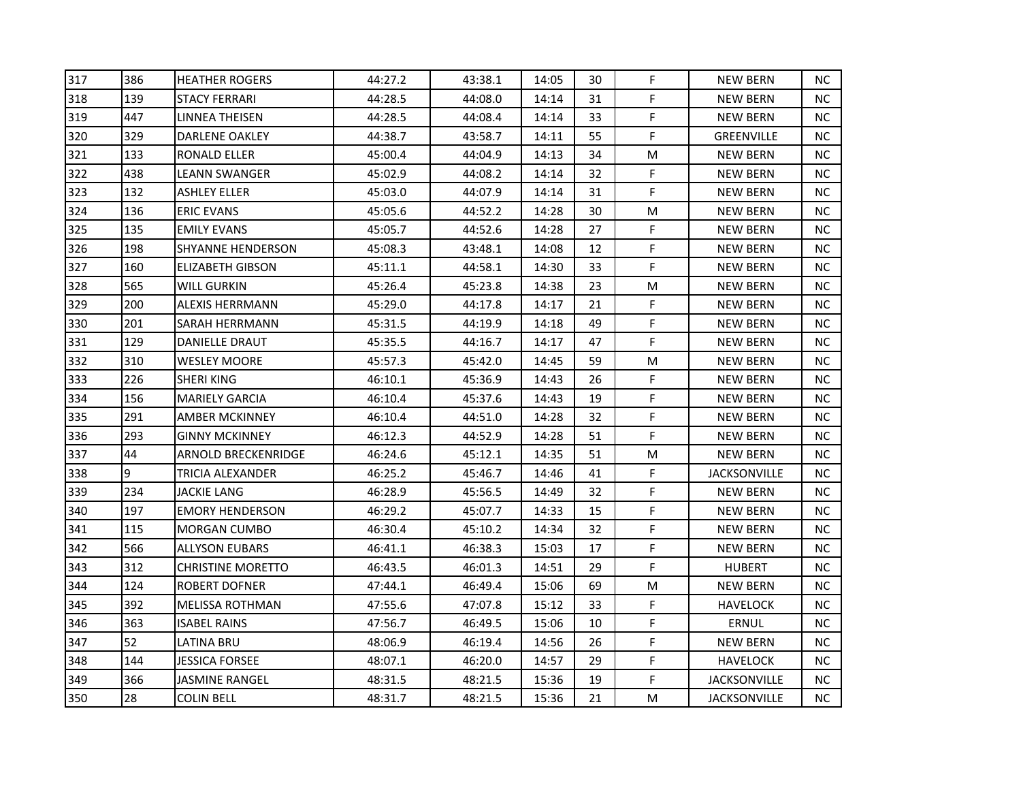| 43:38.1<br>44:08.0<br>44:08.4<br>43:58.7 | 14:05<br>14:14<br>14:14 | 30<br>31<br>33 | F<br>F. | <b>NEW BERN</b><br><b>NEW BERN</b> | <b>NC</b><br>NC. |
|------------------------------------------|-------------------------|----------------|---------|------------------------------------|------------------|
|                                          |                         |                |         |                                    |                  |
|                                          |                         |                |         |                                    |                  |
|                                          |                         |                | F       | NEW BERN                           | <b>NC</b>        |
|                                          | 14:11                   | 55             | F       | <b>GREENVILLE</b>                  | ΝC               |
| 44:04.9                                  | 14:13                   | 34             | M       | <b>NEW BERN</b>                    | <b>NC</b>        |
| 44:08.2                                  | 14:14                   | 32             | F       | <b>NEW BERN</b>                    | <b>NC</b>        |
| 44:07.9                                  | 14:14                   | 31             | F       | <b>NEW BERN</b>                    | <b>NC</b>        |
| 44:52.2                                  | 14:28                   | 30             | M       | <b>NEW BERN</b>                    | NC.              |
| 44:52.6                                  | 14:28                   | 27             | F       | <b>NEW BERN</b>                    | <b>NC</b>        |
| 43:48.1                                  | 14:08                   | 12             | F       | <b>NEW BERN</b>                    | <b>NC</b>        |
| 44:58.1                                  | 14:30                   | 33             | F.      | <b>NEW BERN</b>                    | NC.              |
| 45:23.8                                  | 14:38                   | 23             | M       | <b>NEW BERN</b>                    | NC.              |
| 44:17.8                                  | 14:17                   | 21             | F       | <b>NEW BERN</b>                    | <b>NC</b>        |
| 44:19.9                                  | 14:18                   | 49             | F       | NEW BERN                           | NC.              |
| 44:16.7                                  | 14:17                   | 47             | F       | <b>NEW BERN</b>                    | <b>NC</b>        |
| 45:42.0                                  | 14:45                   | 59             | M       | <b>NEW BERN</b>                    | ΝC               |
| 45:36.9                                  | 14:43                   | 26             | F       | NEW BERN                           | NC.              |
| 45:37.6                                  | 14:43                   | 19             | F       | <b>NEW BERN</b>                    | <b>NC</b>        |
| 44:51.0                                  | 14:28                   | 32             | F       | <b>NEW BERN</b>                    | <b>NC</b>        |
| 44:52.9                                  | 14:28                   | 51             | F       | <b>NEW BERN</b>                    | NC.              |
| 45:12.1                                  | 14:35                   | 51             | M       | <b>NEW BERN</b>                    | <b>NC</b>        |
| 45:46.7                                  | 14:46                   | 41             | F       | <b>JACKSONVILLE</b>                | ΝC               |
| 45:56.5                                  | 14:49                   | 32             | F       | <b>NEW BERN</b>                    | <b>NC</b>        |
| 45:07.7                                  | 14:33                   | 15             | F       | <b>NEW BERN</b>                    | <b>NC</b>        |
| 45:10.2                                  | 14:34                   | 32             | F       | <b>NEW BERN</b>                    | ΝC               |
| 46:38.3                                  | 15:03                   | 17             | F       | <b>NEW BERN</b>                    | NC.              |
| 46:01.3                                  | 14:51                   | 29             | F       | <b>HUBERT</b>                      | ΝC               |
| 46:49.4                                  | 15:06                   | 69             | M       | <b>NEW BERN</b>                    | NC.              |
| 47:07.8                                  | 15:12                   | 33             | F       | HAVELOCK                           | <b>NC</b>        |
|                                          | 15:06                   | 10             | F       | ERNUL                              | <b>NC</b>        |
| 46:49.5                                  |                         |                |         |                                    |                  |
| 46:19.4                                  | 14:56                   | 26             | F       | <b>NEW BERN</b>                    | <b>NC</b>        |
| 46:20.0                                  | 14:57                   | 29             | F       | HAVELOCK                           | <b>NC</b>        |
| 48:21.5                                  | 15:36                   | 19             | F       | <b>JACKSONVILLE</b>                | ΝC               |
|                                          |                         |                |         |                                    |                  |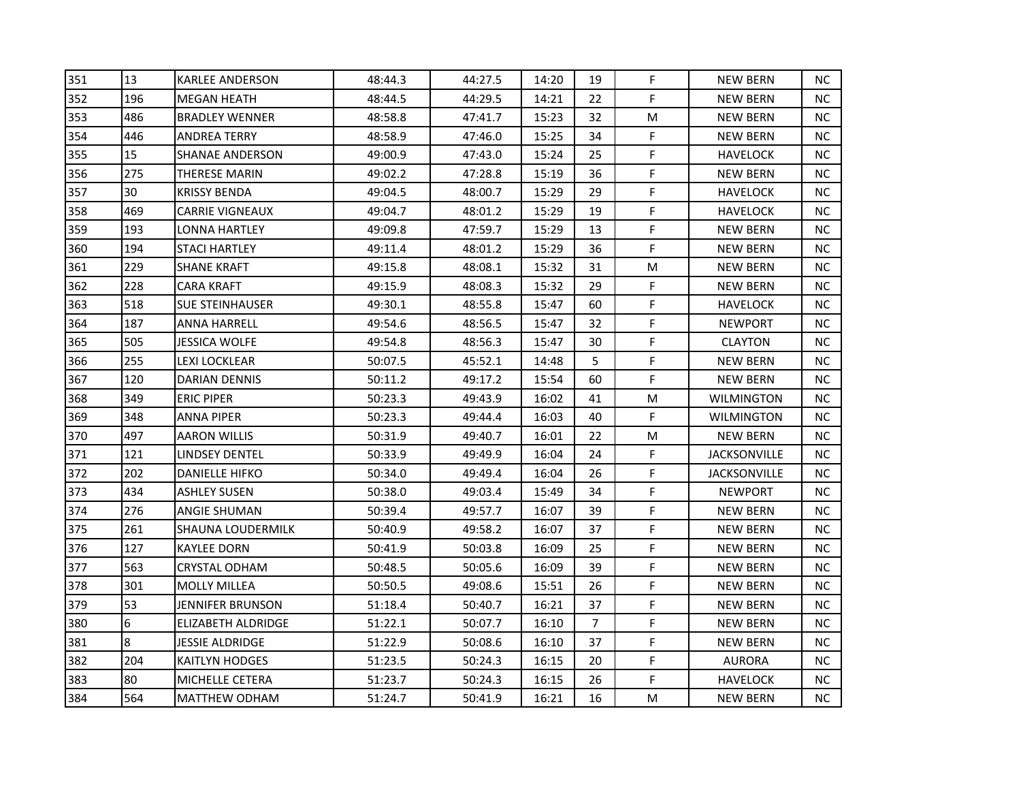| 351 | 13  | <b>KARLEE ANDERSON</b> | 48:44.3 | 44:27.5 | 14:20 | 19             | F           | <b>NEW BERN</b>     | NС        |
|-----|-----|------------------------|---------|---------|-------|----------------|-------------|---------------------|-----------|
| 352 | 196 | MEGAN HEATH            | 48:44.5 | 44:29.5 | 14:21 | 22             | F           | <b>NEW BERN</b>     | NC.       |
| 353 | 486 | <b>BRADLEY WENNER</b>  | 48:58.8 | 47:41.7 | 15:23 | 32             | M           | <b>NEW BERN</b>     | NC        |
| 354 | 446 | ANDREA TERRY           | 48:58.9 | 47:46.0 | 15:25 | 34             | F           | <b>NEW BERN</b>     | NC.       |
| 355 | 15  | SHANAE ANDERSON        | 49:00.9 | 47:43.0 | 15:24 | 25             | F           | <b>HAVELOCK</b>     | NC.       |
| 356 | 275 | THERESE MARIN          | 49:02.2 | 47:28.8 | 15:19 | 36             | F           | <b>NEW BERN</b>     | NС        |
| 357 | 30  | KRISSY BENDA           | 49:04.5 | 48:00.7 | 15:29 | 29             | F           | <b>HAVELOCK</b>     | NC.       |
| 358 | 469 | <b>CARRIE VIGNEAUX</b> | 49:04.7 | 48:01.2 | 15:29 | 19             | F           | <b>HAVELOCK</b>     | NC        |
| 359 | 193 | LONNA HARTLEY          | 49:09.8 | 47:59.7 | 15:29 | 13             | F           | <b>NEW BERN</b>     | NC.       |
| 360 | 194 | STACI HARTLEY          | 49:11.4 | 48:01.2 | 15:29 | 36             | F           | <b>NEW BERN</b>     | NC.       |
| 361 | 229 | SHANE KRAFT            | 49:15.8 | 48:08.1 | 15:32 | 31             | M           | <b>NEW BERN</b>     | NC.       |
| 362 | 228 | CARA KRAFT             | 49:15.9 | 48:08.3 | 15:32 | 29             | F           | <b>NEW BERN</b>     | NC.       |
| 363 | 518 | <b>SUE STEINHAUSER</b> | 49:30.1 | 48:55.8 | 15:47 | 60             | F           | <b>HAVELOCK</b>     | NC        |
| 364 | 187 | ANNA HARRELL           | 49:54.6 | 48:56.5 | 15:47 | 32             | F           | <b>NEWPORT</b>      | NC.       |
| 365 | 505 | JESSICA WOLFE          | 49:54.8 | 48:56.3 | 15:47 | 30             | F           | <b>CLAYTON</b>      | NС        |
| 366 | 255 | LEXI LOCKLEAR          | 50:07.5 | 45:52.1 | 14:48 | 5              | F           | <b>NEW BERN</b>     | NС        |
| 367 | 120 | DARIAN DENNIS          | 50:11.2 | 49:17.2 | 15:54 | 60             | F           | <b>NEW BERN</b>     | NC.       |
| 368 | 349 | <b>ERIC PIPER</b>      | 50:23.3 | 49:43.9 | 16:02 | 41             | M           | <b>WILMINGTON</b>   | <b>NC</b> |
| 369 | 348 | ANNA PIPER             | 50:23.3 | 49:44.4 | 16:03 | 40             | F           | <b>WILMINGTON</b>   | NC.       |
| 370 | 497 | AARON WILLIS           | 50:31.9 | 49:40.7 | 16:01 | 22             | M           | <b>NEW BERN</b>     | NC.       |
| 371 | 121 | LINDSEY DENTEL         | 50:33.9 | 49:49.9 | 16:04 | 24             | F           | JACKSONVILLE        | NC.       |
| 372 | 202 | <b>DANIELLE HIFKO</b>  | 50:34.0 | 49:49.4 | 16:04 | 26             | F           | <b>JACKSONVILLE</b> | NC.       |
| 373 | 434 | <b>ASHLEY SUSEN</b>    | 50:38.0 | 49:03.4 | 15:49 | 34             | F           | <b>NEWPORT</b>      | NC.       |
| 374 | 276 | ANGIE SHUMAN           | 50:39.4 | 49:57.7 | 16:07 | 39             | F           | NEW BERN            | NC.       |
| 375 | 261 | SHAUNA LOUDERMILK      | 50:40.9 | 49:58.2 | 16:07 | 37             | F           | <b>NEW BERN</b>     | NC.       |
| 376 | 127 | KAYLEE DORN            | 50:41.9 | 50:03.8 | 16:09 | 25             | $\mathsf F$ | <b>NEW BERN</b>     | NC.       |
| 377 | 563 | CRYSTAL ODHAM          | 50:48.5 | 50:05.6 | 16:09 | 39             | F           | <b>NEW BERN</b>     | NC.       |
| 378 | 301 | <b>MOLLY MILLEA</b>    | 50:50.5 | 49:08.6 | 15:51 | 26             | F           | <b>NEW BERN</b>     | NC.       |
| 379 | 53  | JENNIFER BRUNSON       | 51:18.4 | 50:40.7 | 16:21 | 37             | F           | NEW BERN            | NC.       |
| 380 | 6   | ELIZABETH ALDRIDGE     | 51:22.1 | 50:07.7 | 16:10 | $\overline{7}$ | F           | <b>NEW BERN</b>     | NC.       |
| 381 | 8   | JESSIE ALDRIDGE        | 51:22.9 | 50:08.6 | 16:10 | 37             | $\mathsf F$ | <b>NEW BERN</b>     | NC.       |
| 382 | 204 | KAITLYN HODGES         | 51:23.5 | 50:24.3 | 16:15 | 20             | F           | <b>AURORA</b>       | NC.       |
| 383 | 80  | MICHELLE CETERA        | 51:23.7 | 50:24.3 | 16:15 | 26             | F           | <b>HAVELOCK</b>     | NC.       |
| 384 | 564 | <b>MATTHEW ODHAM</b>   | 51:24.7 | 50:41.9 | 16:21 | 16             | M           | <b>NEW BERN</b>     | NC        |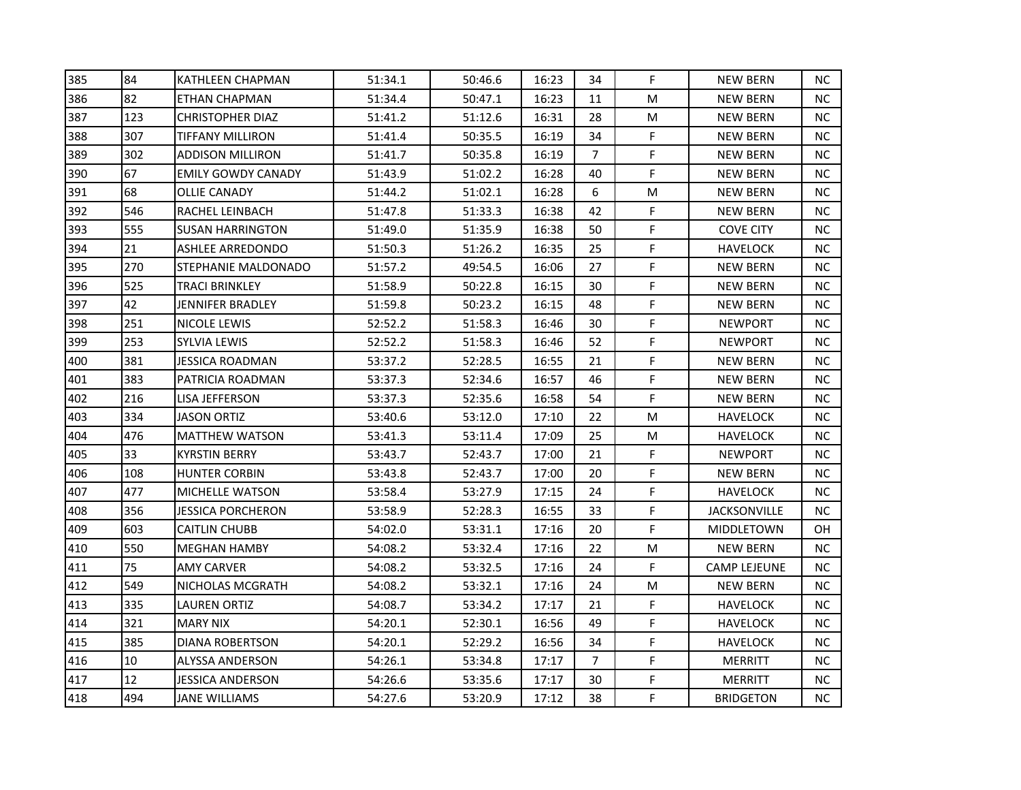| 385 | 84  | KATHLEEN CHAPMAN        | 51:34.1 | 50:46.6 | 16:23 | 34             | F           | <b>NEW BERN</b>     | NC.       |
|-----|-----|-------------------------|---------|---------|-------|----------------|-------------|---------------------|-----------|
| 386 | 82  | ETHAN CHAPMAN           | 51:34.4 | 50:47.1 | 16:23 | 11             | M           | <b>NEW BERN</b>     | NC.       |
| 387 | 123 | <b>CHRISTOPHER DIAZ</b> | 51:41.2 | 51:12.6 | 16:31 | 28             | M           | NEW BERN            | NC.       |
| 388 | 307 | TIFFANY MILLIRON        | 51:41.4 | 50:35.5 | 16:19 | 34             | F           | <b>NEW BERN</b>     | NC.       |
| 389 | 302 | ADDISON MILLIRON        | 51:41.7 | 50:35.8 | 16:19 | $\overline{7}$ | F           | <b>NEW BERN</b>     | NС        |
| 390 | 67  | EMILY GOWDY CANADY      | 51:43.9 | 51:02.2 | 16:28 | 40             | F           | <b>NEW BERN</b>     | NC.       |
| 391 | 68  | <b>OLLIE CANADY</b>     | 51:44.2 | 51:02.1 | 16:28 | 6              | M           | <b>NEW BERN</b>     | NC.       |
| 392 | 546 | RACHEL LEINBACH         | 51:47.8 | 51:33.3 | 16:38 | 42             | F           | <b>NEW BERN</b>     | NC.       |
| 393 | 555 | <b>SUSAN HARRINGTON</b> | 51:49.0 | 51:35.9 | 16:38 | 50             | F           | <b>COVE CITY</b>    | NC.       |
| 394 | 21  | ASHLEE ARREDONDO        | 51:50.3 | 51:26.2 | 16:35 | 25             | F           | <b>HAVELOCK</b>     | NC.       |
| 395 | 270 | STEPHANIE MALDONADO     | 51:57.2 | 49:54.5 | 16:06 | 27             | F           | <b>NEW BERN</b>     | NC.       |
| 396 | 525 | TRACI BRINKLEY          | 51:58.9 | 50:22.8 | 16:15 | 30             | F           | <b>NEW BERN</b>     | NC.       |
| 397 | 42  | JENNIFER BRADLEY        | 51:59.8 | 50:23.2 | 16:15 | 48             | F           | <b>NEW BERN</b>     | NC        |
| 398 | 251 | NICOLE LEWIS            | 52:52.2 | 51:58.3 | 16:46 | 30             | F           | <b>NEWPORT</b>      | NC.       |
| 399 | 253 | SYLVIA LEWIS            | 52:52.2 | 51:58.3 | 16:46 | 52             | F           | <b>NEWPORT</b>      | NC.       |
| 400 | 381 | JESSICA ROADMAN         | 53:37.2 | 52:28.5 | 16:55 | 21             | F           | <b>NEW BERN</b>     | NС        |
| 401 | 383 | PATRICIA ROADMAN        | 53:37.3 | 52:34.6 | 16:57 | 46             | F           | <b>NEW BERN</b>     | NC.       |
| 402 | 216 | LISA JEFFERSON          | 53:37.3 | 52:35.6 | 16:58 | 54             | F           | <b>NEW BERN</b>     | NC.       |
| 403 | 334 | <b>JASON ORTIZ</b>      | 53:40.6 | 53:12.0 | 17:10 | 22             | M           | HAVELOCK            | <b>NC</b> |
| 404 | 476 | <b>MATTHEW WATSON</b>   | 53:41.3 | 53:11.4 | 17:09 | 25             | M           | <b>HAVELOCK</b>     | NC.       |
| 405 | 33. | KYRSTIN BERRY           | 53:43.7 | 52:43.7 | 17:00 | 21             | F           | <b>NEWPORT</b>      | NC.       |
| 406 | 108 | <b>HUNTER CORBIN</b>    | 53:43.8 | 52:43.7 | 17:00 | 20             | F           | <b>NEW BERN</b>     | NC.       |
| 407 | 477 | <b>MICHELLE WATSON</b>  | 53:58.4 | 53:27.9 | 17:15 | 24             | F           | <b>HAVELOCK</b>     | NC.       |
| 408 | 356 | JESSICA PORCHERON       | 53:58.9 | 52:28.3 | 16:55 | 33             | F           | JACKSONVILLE        | NC.       |
| 409 | 603 | CAITLIN CHUBB           | 54:02.0 | 53:31.1 | 17:16 | 20             | F           | MIDDLETOWN          | OH        |
| 410 | 550 | <b>MEGHAN HAMBY</b>     | 54:08.2 | 53:32.4 | 17:16 | 22             | M           | <b>NEW BERN</b>     | NC.       |
| 411 | 75  | AMY CARVER              | 54:08.2 | 53:32.5 | 17:16 | 24             | F           | <b>CAMP LEJEUNE</b> | NC.       |
| 412 | 549 | NICHOLAS MCGRATH        | 54:08.2 | 53:32.1 | 17:16 | 24             | M           | <b>NEW BERN</b>     | NC.       |
| 413 | 335 | LAUREN ORTIZ            | 54:08.7 | 53:34.2 | 17:17 | 21             | F           | <b>HAVELOCK</b>     | NC        |
| 414 | 321 | <b>MARY NIX</b>         | 54:20.1 | 52:30.1 | 16:56 | 49             | F           | <b>HAVELOCK</b>     | NC.       |
| 415 | 385 | DIANA ROBERTSON         | 54:20.1 | 52:29.2 | 16:56 | 34             | F           | <b>HAVELOCK</b>     | NC.       |
| 416 | 10  | ALYSSA ANDERSON         | 54:26.1 | 53:34.8 | 17:17 | $\overline{7}$ | F           | MERRITT             | NC.       |
| 417 | 12  | JESSICA ANDERSON        | 54:26.6 | 53:35.6 | 17:17 | 30             | F           | <b>MERRITT</b>      | NC        |
| 418 | 494 | JANE WILLIAMS           | 54:27.6 | 53:20.9 | 17:12 | 38             | $\mathsf F$ | <b>BRIDGETON</b>    | NC.       |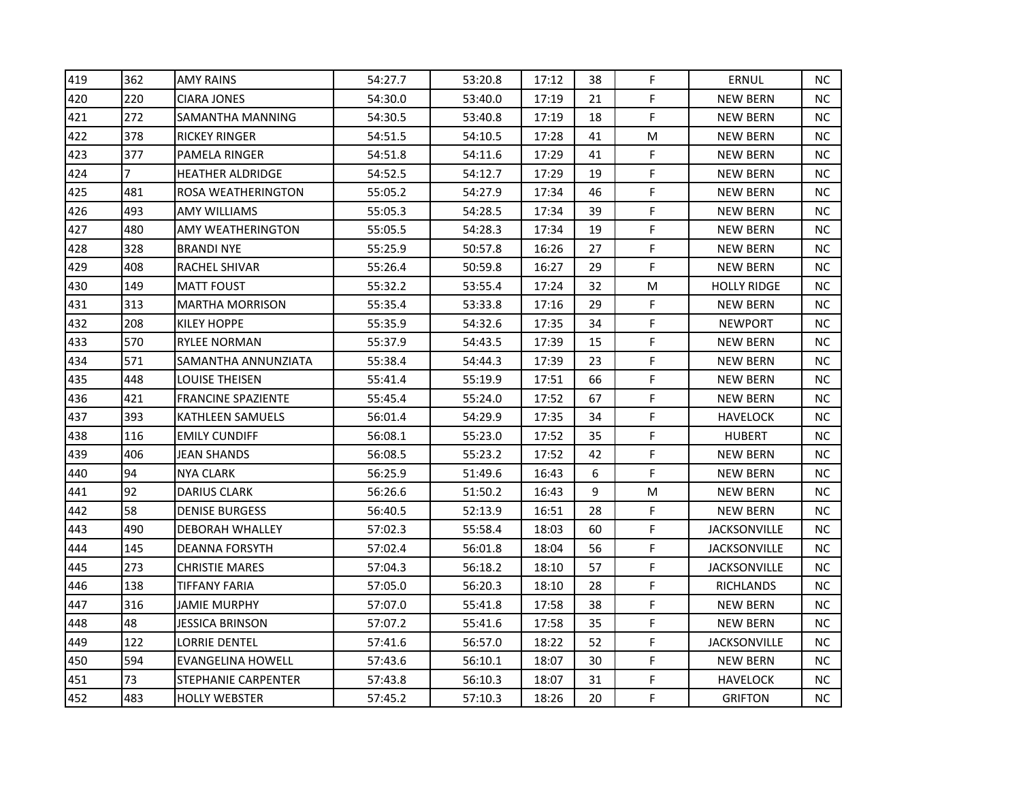| 419 | 362 | <b>AMY RAINS</b>          | 54:27.7 | 53:20.8 | 17:12 | 38 | F | <b>ERNUL</b>        | <b>NC</b> |
|-----|-----|---------------------------|---------|---------|-------|----|---|---------------------|-----------|
| 420 | 220 | <b>CIARA JONES</b>        | 54:30.0 | 53:40.0 | 17:19 | 21 | F | <b>NEW BERN</b>     | <b>NC</b> |
| 421 | 272 | SAMANTHA MANNING          | 54:30.5 | 53:40.8 | 17:19 | 18 | F | <b>NEW BERN</b>     | NC.       |
| 422 | 378 | RICKEY RINGER             | 54:51.5 | 54:10.5 | 17:28 | 41 | M | <b>NEW BERN</b>     | NC.       |
| 423 | 377 | PAMELA RINGER             | 54:51.8 | 54:11.6 | 17:29 | 41 | F | <b>NEW BERN</b>     | NC.       |
| 424 | 7   | <b>HEATHER ALDRIDGE</b>   | 54:52.5 | 54:12.7 | 17:29 | 19 | F | <b>NEW BERN</b>     | NC.       |
| 425 | 481 | ROSA WEATHERINGTON        | 55:05.2 | 54:27.9 | 17:34 | 46 | F | <b>NEW BERN</b>     | NC.       |
| 426 | 493 | AMY WILLIAMS              | 55:05.3 | 54:28.5 | 17:34 | 39 | F | <b>NEW BERN</b>     | <b>NC</b> |
| 427 | 480 | AMY WEATHERINGTON         | 55:05.5 | 54:28.3 | 17:34 | 19 | F | <b>NEW BERN</b>     | <b>NC</b> |
| 428 | 328 | <b>BRANDI NYE</b>         | 55:25.9 | 50:57.8 | 16:26 | 27 | F | <b>NEW BERN</b>     | <b>NC</b> |
| 429 | 408 | RACHEL SHIVAR             | 55:26.4 | 50:59.8 | 16:27 | 29 | F | <b>NEW BERN</b>     | ΝC        |
| 430 | 149 | <b>MATT FOUST</b>         | 55:32.2 | 53:55.4 | 17:24 | 32 | M | <b>HOLLY RIDGE</b>  | NC.       |
| 431 | 313 | <b>MARTHA MORRISON</b>    | 55:35.4 | 53:33.8 | 17:16 | 29 | F | <b>NEW BERN</b>     | <b>NC</b> |
| 432 | 208 | KILEY HOPPE               | 55:35.9 | 54:32.6 | 17:35 | 34 | F | <b>NEWPORT</b>      | <b>NC</b> |
| 433 | 570 | <b>RYLEE NORMAN</b>       | 55:37.9 | 54:43.5 | 17:39 | 15 | F | <b>NEW BERN</b>     | NC.       |
| 434 | 571 | SAMANTHA ANNUNZIATA       | 55:38.4 | 54:44.3 | 17:39 | 23 | F | <b>NEW BERN</b>     | <b>NC</b> |
| 435 | 448 | LOUISE THEISEN            | 55:41.4 | 55:19.9 | 17:51 | 66 | F | <b>NEW BERN</b>     | ΝC        |
| 436 | 421 | <b>FRANCINE SPAZIENTE</b> | 55:45.4 | 55:24.0 | 17:52 | 67 | F | <b>NEW BERN</b>     | <b>NC</b> |
| 437 | 393 | <b>KATHLEEN SAMUELS</b>   | 56:01.4 | 54:29.9 | 17:35 | 34 | F | HAVELOCK            | <b>NC</b> |
| 438 | 116 | <b>EMILY CUNDIFF</b>      | 56:08.1 | 55:23.0 | 17:52 | 35 | F | <b>HUBERT</b>       | NC.       |
| 439 | 406 | JEAN SHANDS               | 56:08.5 | 55:23.2 | 17:52 | 42 | F | <b>NEW BERN</b>     | NC.       |
| 440 | 94  | <b>NYA CLARK</b>          | 56:25.9 | 51:49.6 | 16:43 | 6  | F | <b>NEW BERN</b>     | <b>NC</b> |
| 441 | 92  | <b>DARIUS CLARK</b>       | 56:26.6 | 51:50.2 | 16:43 | 9  | M | <b>NEW BERN</b>     | <b>NC</b> |
| 442 | 58  | <b>DENISE BURGESS</b>     | 56:40.5 | 52:13.9 | 16:51 | 28 | F | <b>NEW BERN</b>     | NC.       |
| 443 | 490 | DEBORAH WHALLEY           | 57:02.3 | 55:58.4 | 18:03 | 60 | F | <b>JACKSONVILLE</b> | <b>NC</b> |
| 444 | 145 | <b>DEANNA FORSYTH</b>     | 57:02.4 | 56:01.8 | 18:04 | 56 | F | <b>JACKSONVILLE</b> | NC.       |
| 445 | 273 | <b>CHRISTIE MARES</b>     | 57:04.3 | 56:18.2 | 18:10 | 57 | F | <b>JACKSONVILLE</b> | ΝC        |
| 446 | 138 | TIFFANY FARIA             | 57:05.0 | 56:20.3 | 18:10 | 28 | F | RICHLANDS           | NC.       |
| 447 | 316 | JAMIE MURPHY              | 57:07.0 | 55:41.8 | 17:58 | 38 | F | <b>NEW BERN</b>     | <b>NC</b> |
| 448 | 48  | JESSICA BRINSON           | 57:07.2 | 55:41.6 | 17:58 | 35 | F | <b>NEW BERN</b>     | <b>NC</b> |
| 449 | 122 | LORRIE DENTEL             | 57:41.6 | 56:57.0 | 18:22 | 52 | F | <b>JACKSONVILLE</b> | NC.       |
| 450 | 594 | EVANGELINA HOWELL         | 57:43.6 | 56:10.1 | 18:07 | 30 | F | <b>NEW BERN</b>     | NC.       |
| 451 | 73  | STEPHANIE CARPENTER       | 57:43.8 | 56:10.3 | 18:07 | 31 | F | <b>HAVELOCK</b>     | NC.       |
| 452 | 483 | <b>HOLLY WEBSTER</b>      | 57:45.2 | 57:10.3 | 18:26 | 20 | F | <b>GRIFTON</b>      | NC.       |
|     |     |                           |         |         |       |    |   |                     |           |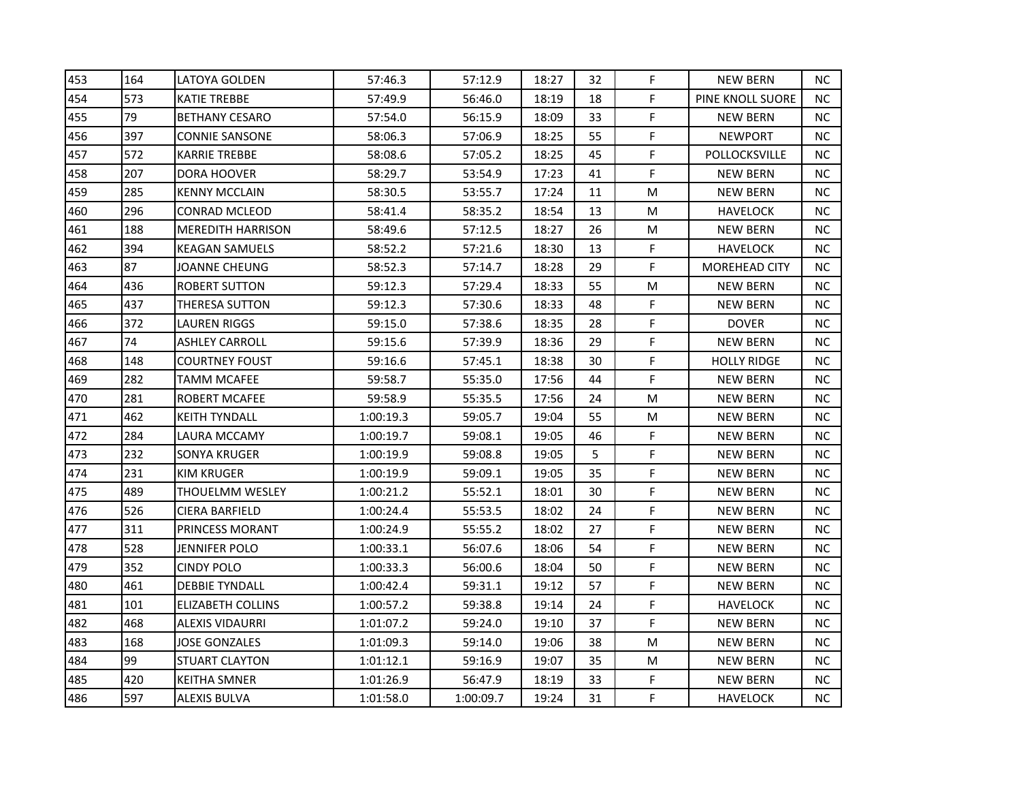| 453 | 164 | LATOYA GOLDEN            | 57:46.3   | 57:12.9   | 18:27 | 32 | F           | <b>NEW BERN</b>         | NC.       |
|-----|-----|--------------------------|-----------|-----------|-------|----|-------------|-------------------------|-----------|
| 454 | 573 | KATIE TREBBE             | 57:49.9   | 56:46.0   | 18:19 | 18 | F           | <b>PINE KNOLL SUORE</b> | NC.       |
| 455 | 79  | <b>BETHANY CESARO</b>    | 57:54.0   | 56:15.9   | 18:09 | 33 | F           | <b>NEW BERN</b>         | NC.       |
| 456 | 397 | <b>CONNIE SANSONE</b>    | 58:06.3   | 57:06.9   | 18:25 | 55 | F           | <b>NEWPORT</b>          | NC.       |
| 457 | 572 | KARRIE TREBBE            | 58:08.6   | 57:05.2   | 18:25 | 45 | $\mathsf F$ | POLLOCKSVILLE           | NC.       |
| 458 | 207 | DORA HOOVER              | 58:29.7   | 53:54.9   | 17:23 | 41 | F           | <b>NEW BERN</b>         | NC.       |
| 459 | 285 | <b>KENNY MCCLAIN</b>     | 58:30.5   | 53:55.7   | 17:24 | 11 | M           | <b>NEW BERN</b>         | NC.       |
| 460 | 296 | CONRAD MCLEOD            | 58:41.4   | 58:35.2   | 18:54 | 13 | M           | <b>HAVELOCK</b>         | NC.       |
| 461 | 188 | <b>MEREDITH HARRISON</b> | 58:49.6   | 57:12.5   | 18:27 | 26 | M           | <b>NEW BERN</b>         | NC.       |
| 462 | 394 | KEAGAN SAMUELS           | 58:52.2   | 57:21.6   | 18:30 | 13 | F           | <b>HAVELOCK</b>         | NС        |
| 463 | 87  | JOANNE CHEUNG            | 58:52.3   | 57:14.7   | 18:28 | 29 | F           | <b>MOREHEAD CITY</b>    | NC.       |
| 464 | 436 | <b>ROBERT SUTTON</b>     | 59:12.3   | 57:29.4   | 18:33 | 55 | M           | <b>NEW BERN</b>         | NC.       |
| 465 | 437 | THERESA SUTTON           | 59:12.3   | 57:30.6   | 18:33 | 48 | F           | <b>NEW BERN</b>         | NC.       |
| 466 | 372 | LAUREN RIGGS             | 59:15.0   | 57:38.6   | 18:35 | 28 | F           | <b>DOVER</b>            | NC.       |
| 467 | 74  | ASHLEY CARROLL           | 59:15.6   | 57:39.9   | 18:36 | 29 | F           | <b>NEW BERN</b>         | NC.       |
| 468 | 148 | COURTNEY FOUST           | 59:16.6   | 57:45.1   | 18:38 | 30 | F           | HOLLY RIDGE             | NC        |
| 469 | 282 | TAMM MCAFEE              | 59:58.7   | 55:35.0   | 17:56 | 44 | F           | <b>NEW BERN</b>         | NC.       |
| 470 | 281 | ROBERT MCAFEE            | 59:58.9   | 55:35.5   | 17:56 | 24 | M           | <b>NEW BERN</b>         | NC        |
| 471 | 462 | <b>KEITH TYNDALL</b>     | 1:00:19.3 | 59:05.7   | 19:04 | 55 | M           | <b>NEW BERN</b>         | NC.       |
| 472 | 284 | LAURA MCCAMY             | 1:00:19.7 | 59:08.1   | 19:05 | 46 | F           | <b>NEW BERN</b>         | <b>NC</b> |
| 473 | 232 | SONYA KRUGER             | 1:00:19.9 | 59:08.8   | 19:05 | 5  | F           | <b>NEW BERN</b>         | NC.       |
| 474 | 231 | KIM KRUGER               | 1:00:19.9 | 59:09.1   | 19:05 | 35 | F           | <b>NEW BERN</b>         | NC.       |
| 475 | 489 | <b>THOUELMM WESLEY</b>   | 1:00:21.2 | 55:52.1   | 18:01 | 30 | F           | <b>NEW BERN</b>         | NC.       |
| 476 | 526 | <b>CIERA BARFIELD</b>    | 1:00:24.4 | 55:53.5   | 18:02 | 24 | F           | <b>NEW BERN</b>         | NC.       |
| 477 | 311 | PRINCESS MORANT          | 1:00:24.9 | 55:55.2   | 18:02 | 27 | F           | <b>NEW BERN</b>         | NС        |
| 478 | 528 | JENNIFER POLO            | 1:00:33.1 | 56:07.6   | 18:06 | 54 | F           | <b>NEW BERN</b>         | NC.       |
| 479 | 352 | <b>CINDY POLO</b>        | 1:00:33.3 | 56:00.6   | 18:04 | 50 | F           | <b>NEW BERN</b>         | NC.       |
| 480 | 461 | <b>DEBBIE TYNDALL</b>    | 1:00:42.4 | 59:31.1   | 19:12 | 57 | F           | <b>NEW BERN</b>         | NC.       |
| 481 | 101 | ELIZABETH COLLINS        | 1:00:57.2 | 59:38.8   | 19:14 | 24 | F           | HAVELOCK                | <b>NC</b> |
| 482 | 468 | ALEXIS VIDAURRI          | 1:01:07.2 | 59:24.0   | 19:10 | 37 | F           | <b>NEW BERN</b>         | NC.       |
| 483 | 168 | JOSE GONZALES            | 1:01:09.3 | 59:14.0   | 19:06 | 38 | M           | <b>NEW BERN</b>         | NC.       |
| 484 | 99  | <b>STUART CLAYTON</b>    | 1:01:12.1 | 59:16.9   | 19:07 | 35 | M           | <b>NEW BERN</b>         | NC.       |
| 485 | 420 | <b>KEITHA SMNER</b>      | 1:01:26.9 | 56:47.9   | 18:19 | 33 | F           | <b>NEW BERN</b>         | NC.       |
| 486 | 597 | ALEXIS BULVA             | 1:01:58.0 | 1:00:09.7 | 19:24 | 31 | F           | <b>HAVELOCK</b>         | NC        |
|     |     |                          |           |           |       |    |             |                         |           |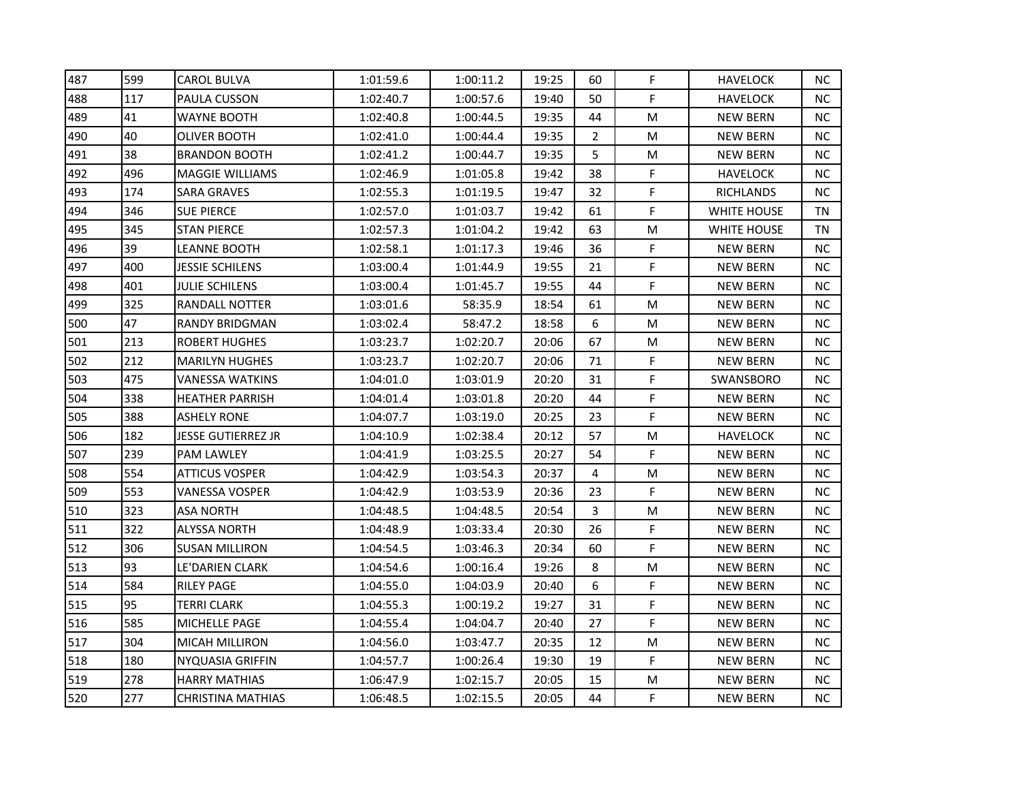| 487 | 599 | <b>CAROL BULVA</b>     | 1:01:59.6 | 1:00:11.2 | 19:25 | 60             | F           | <b>HAVELOCK</b>    | NC.       |
|-----|-----|------------------------|-----------|-----------|-------|----------------|-------------|--------------------|-----------|
| 488 | 117 | PAULA CUSSON           | 1:02:40.7 | 1:00:57.6 | 19:40 | 50             | F           | <b>HAVELOCK</b>    | NC.       |
| 489 | 41  | WAYNE BOOTH            | 1:02:40.8 | 1:00:44.5 | 19:35 | 44             | M           | <b>NEW BERN</b>    | <b>NC</b> |
| 490 | 40  | OLIVER BOOTH           | 1:02:41.0 | 1:00:44.4 | 19:35 | $\overline{2}$ | M           | <b>NEW BERN</b>    | NC.       |
| 491 | 38  | <b>BRANDON BOOTH</b>   | 1:02:41.2 | 1:00:44.7 | 19:35 | 5              | M           | <b>NEW BERN</b>    | NC.       |
| 492 | 496 | <b>MAGGIE WILLIAMS</b> | 1:02:46.9 | 1:01:05.8 | 19:42 | 38             | F           | <b>HAVELOCK</b>    | NC.       |
| 493 | 174 | <b>SARA GRAVES</b>     | 1:02:55.3 | 1:01:19.5 | 19:47 | 32             | F           | <b>RICHLANDS</b>   | NC.       |
| 494 | 346 | SUE PIERCE             | 1:02:57.0 | 1:01:03.7 | 19:42 | 61             | F           | <b>WHITE HOUSE</b> | TN        |
| 495 | 345 | <b>STAN PIERCE</b>     | 1:02:57.3 | 1:01:04.2 | 19:42 | 63             | M           | <b>WHITE HOUSE</b> | TN        |
| 496 | 39  | LEANNE BOOTH           | 1:02:58.1 | 1:01:17.3 | 19:46 | 36             | F           | <b>NEW BERN</b>    | NC.       |
| 497 | 400 | JESSIE SCHILENS        | 1:03:00.4 | 1:01:44.9 | 19:55 | 21             | F           | <b>NEW BERN</b>    | NC.       |
| 498 | 401 | <b>JULIE SCHILENS</b>  | 1:03:00.4 | 1:01:45.7 | 19:55 | 44             | F           | <b>NEW BERN</b>    | NC.       |
| 499 | 325 | RANDALL NOTTER         | 1:03:01.6 | 58:35.9   | 18:54 | 61             | M           | <b>NEW BERN</b>    | NC        |
| 500 | 47  | RANDY BRIDGMAN         | 1:03:02.4 | 58:47.2   | 18:58 | 6              | M           | <b>NEW BERN</b>    | NC.       |
| 501 | 213 | <b>ROBERT HUGHES</b>   | 1:03:23.7 | 1:02:20.7 | 20:06 | 67             | M           | <b>NEW BERN</b>    | NC.       |
| 502 | 212 | <b>MARILYN HUGHES</b>  | 1:03:23.7 | 1:02:20.7 | 20:06 | 71             | F           | <b>NEW BERN</b>    | NC        |
| 503 | 475 | VANESSA WATKINS        | 1:04:01.0 | 1:03:01.9 | 20:20 | 31             | F           | SWANSBORO          | NC.       |
| 504 | 338 | <b>HEATHER PARRISH</b> | 1:04:01.4 | 1:03:01.8 | 20:20 | 44             | F           | <b>NEW BERN</b>    | NC        |
| 505 | 388 | ASHELY RONE            | 1:04:07.7 | 1:03:19.0 | 20:25 | 23             | F           | <b>NEW BERN</b>    | NC.       |
| 506 | 182 | JESSE GUTIERREZ JR     | 1:04:10.9 | 1:02:38.4 | 20:12 | 57             | M           | <b>HAVELOCK</b>    | <b>NC</b> |
| 507 | 239 | PAM LAWLEY             | 1:04:41.9 | 1:03:25.5 | 20:27 | 54             | F           | <b>NEW BERN</b>    | <b>NC</b> |
| 508 | 554 | ATTICUS VOSPER         | 1:04:42.9 | 1:03:54.3 | 20:37 | 4              | M           | <b>NEW BERN</b>    | NC.       |
| 509 | 553 | VANESSA VOSPER         | 1:04:42.9 | 1:03:53.9 | 20:36 | 23             | F           | <b>NEW BERN</b>    | NC.       |
| 510 | 323 | ASA NORTH              | 1:04:48.5 | 1:04:48.5 | 20:54 | 3              | M           | <b>NEW BERN</b>    | NC.       |
| 511 | 322 | ALYSSA NORTH           | 1:04:48.9 | 1:03:33.4 | 20:30 | 26             | F           | <b>NEW BERN</b>    | NC.       |
| 512 | 306 | SUSAN MILLIRON         | 1:04:54.5 | 1:03:46.3 | 20:34 | 60             | $\mathsf F$ | <b>NEW BERN</b>    | NC.       |
| 513 | 93  | LE'DARIEN CLARK        | 1:04:54.6 | 1:00:16.4 | 19:26 | 8              | M           | <b>NEW BERN</b>    | NC.       |
| 514 | 584 | <b>RILEY PAGE</b>      | 1:04:55.0 | 1:04:03.9 | 20:40 | 6              | F           | <b>NEW BERN</b>    | NC.       |
| 515 | 95  | TERRI CLARK            | 1:04:55.3 | 1:00:19.2 | 19:27 | 31             | F           | NEW BERN           | NC        |
| 516 | 585 | MICHELLE PAGE          | 1:04:55.4 | 1:04:04.7 | 20:40 | 27             | F           | <b>NEW BERN</b>    | NC.       |
| 517 | 304 | MICAH MILLIRON         | 1:04:56.0 | 1:03:47.7 | 20:35 | 12             | M           | <b>NEW BERN</b>    | NC.       |
| 518 | 180 | NYQUASIA GRIFFIN       | 1:04:57.7 | 1:00:26.4 | 19:30 | 19             | F           | <b>NEW BERN</b>    | NC.       |
| 519 | 278 | <b>HARRY MATHIAS</b>   | 1:06:47.9 | 1:02:15.7 | 20:05 | 15             | M           | <b>NEW BERN</b>    | NC.       |
| 520 | 277 | CHRISTINA MATHIAS      | 1:06:48.5 | 1:02:15.5 | 20:05 | 44             | F           | <b>NEW BERN</b>    | NC        |
|     |     |                        |           |           |       |                |             |                    |           |